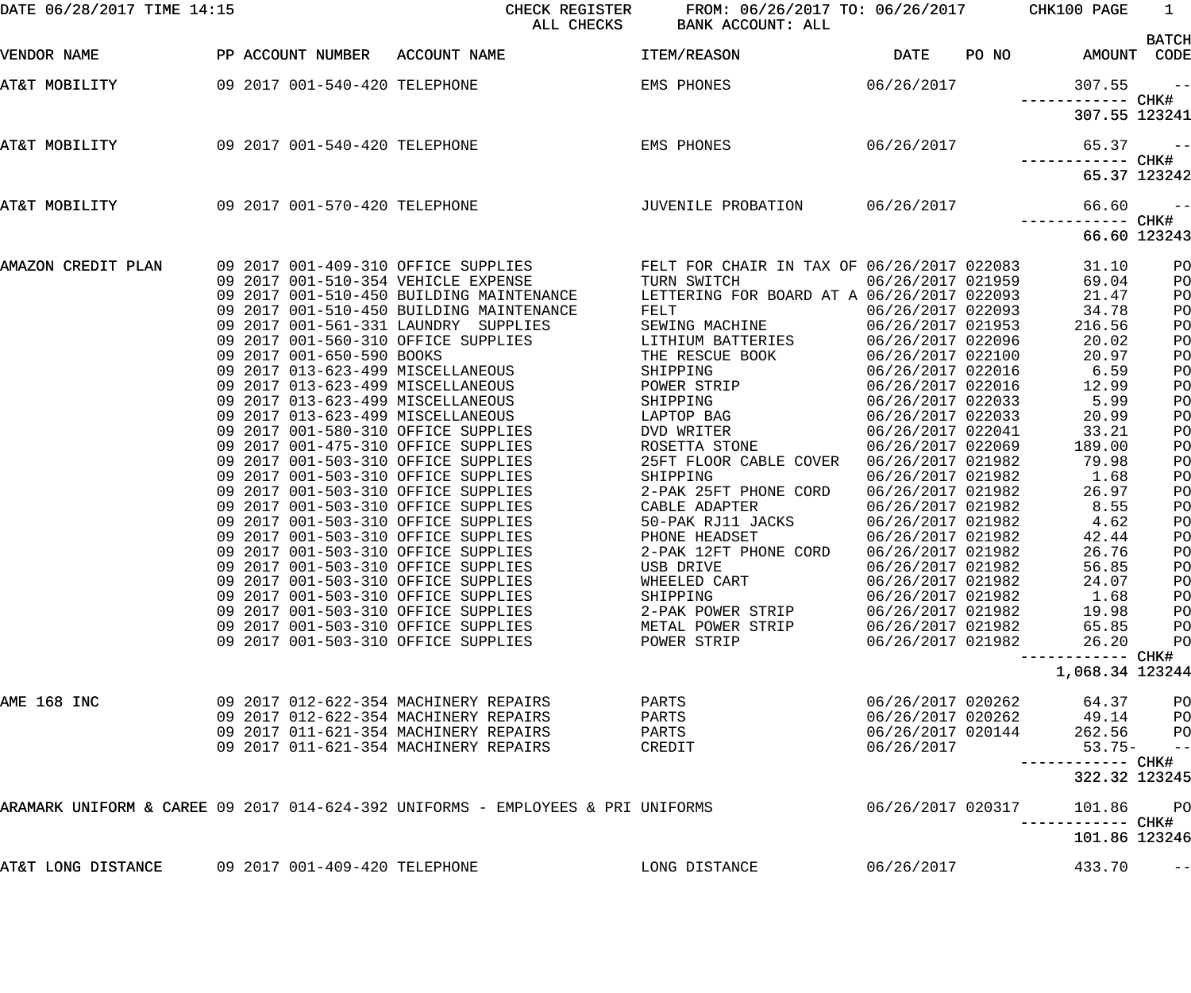| DATE 06/28/2017 TIME 14:15 |  |                               | CHECK REGISTER<br>ALL CHECKS                                                                                                                                                                                                                                                                                                                                           | FROM: 06/26/2017 TO: 06/26/2017 CHK100 PAGE<br>BANK ACCOUNT: ALL                                      |                                                                                                       |       |                                                     | $\overline{1}$                   |
|----------------------------|--|-------------------------------|------------------------------------------------------------------------------------------------------------------------------------------------------------------------------------------------------------------------------------------------------------------------------------------------------------------------------------------------------------------------|-------------------------------------------------------------------------------------------------------|-------------------------------------------------------------------------------------------------------|-------|-----------------------------------------------------|----------------------------------|
| VENDOR NAME                |  |                               | PP ACCOUNT NUMBER ACCOUNT NAME                                                                                                                                                                                                                                                                                                                                         | ITEM/REASON                                                                                           | <b>DATE</b>                                                                                           | PO NO |                                                     | <b>BATCH</b><br>AMOUNT CODE      |
| AT&T MOBILITY              |  | 09 2017 001-540-420 TELEPHONE |                                                                                                                                                                                                                                                                                                                                                                        | EMS PHONES                                                                                            | 06/26/2017                                                                                            |       | 307.55                                              | $- -$                            |
|                            |  |                               |                                                                                                                                                                                                                                                                                                                                                                        |                                                                                                       |                                                                                                       |       | 307.55 123241                                       |                                  |
| AT&T MOBILITY              |  | 09 2017 001-540-420 TELEPHONE |                                                                                                                                                                                                                                                                                                                                                                        | EMS PHONES                                                                                            | 06/26/2017                                                                                            |       | 65.37                                               | $\sim$ $ -$                      |
|                            |  |                               |                                                                                                                                                                                                                                                                                                                                                                        |                                                                                                       |                                                                                                       |       |                                                     | 65.37 123242                     |
| AT&T MOBILITY              |  |                               | 09 2017 001-570-420 TELEPHONE                                                                                                                                                                                                                                                                                                                                          | JUVENILE PROBATION 06/26/2017                                                                         |                                                                                                       |       | 66.60                                               | $- -$                            |
|                            |  |                               |                                                                                                                                                                                                                                                                                                                                                                        |                                                                                                       |                                                                                                       |       |                                                     | 66.60 123243                     |
| AMAZON CREDIT PLAN         |  |                               | 09 2017 001-409-310 OFFICE SUPPLIES                   FELT FOR CHAIR IN TAX OF 06/26/2017 022083<br>09 2017 001-510-354 VEHICLE EXPENSE               TURN SWITCH             06/26/2017 021959<br>09 2017 001-510-450 BUILDING MAINTENANCE<br>09 2017 001-510-450 BUILDING MAINTENANCE<br>09 2017 001-561-331 LAUNDRY SUPPLIES<br>09 2017 001-560-310 OFFICE SUPPLIES | LETTERING FOR BOARD AT A 06/26/2017 022093<br>FELT<br>SEWING MACHINE<br>LITHIUM BATTERIES             | 06/26/2017 021959<br>06/26/2017 022093<br>06/26/2017 021953<br>06/26/2017 022096                      |       | 31.10<br>69.04<br>21.47<br>34.78<br>216.56<br>20.02 | PO<br>PO<br>PO<br>PO<br>PO<br>PO |
|                            |  | 09 2017 001-650-590 BOOKS     | 09 2017 001-030-330 DOOND<br>09 2017 013-623-499 MISCELLANEOUS<br>09 2017 013-623-499 MISCELLANEOUS<br>09 2017 013-623-499 MISCELLANEOUS<br>09 2017 013-623-499 MISCELLANEOUS                                                                                                                                                                                          | THE RESCUE BOOK<br>SHIPPING<br>POWER STRIP<br>SHIPPING<br>LAPTOP BAG                                  | 06/26/2017 022100<br>06/26/2017 022016<br>06/26/2017 022016<br>06/26/2017 022033<br>06/26/2017 022033 |       | 20.97<br>6.59<br>12.99<br>5.99<br>20.99             | PO<br>PO<br>PO<br>PO<br>PO       |
|                            |  |                               | 09 2017 001-580-310 OFFICE SUPPLIES<br>09 2017 001-475-310 OFFICE SUPPLIES<br>09 2017 001-503-310 OFFICE SUPPLIES<br>09 2017 001-503-310 OFFICE SUPPLIES                                                                                                                                                                                                               | DVD WRITER<br>ROSETTA STONE<br>25FT FLOOR CABLE COVER<br>SHIPPING                                     | 06/26/2017 022041<br>06/26/2017 022069<br>06/26/2017 021982<br>06/26/2017 021982                      |       | 33.21<br>189.00<br>79.98<br>1.68                    | PO<br>PO<br>PO<br>PO             |
|                            |  |                               | 09 2017 001-503-310 OFFICE SUPPLIES<br>09 2017 001-503-310 OFFICE SUPPLIES<br>09 2017 001-503-310 OFFICE SUPPLIES<br>09 2017 001-503-310 OFFICE SUPPLIES<br>09 2017 001-503-310 OFFICE SUPPLIES                                                                                                                                                                        | 2-PAK 25FT PHONE CORD<br>CABLE ADAPTER<br>50-PAK RJ11 JACKS<br>PHONE HEADSET<br>2-PAK 12FT PHONE CORD | 06/26/2017 021982<br>06/26/2017 021982<br>06/26/2017 021982<br>06/26/2017 021982<br>06/26/2017 021982 |       | 26.97<br>8.55<br>4.62<br>42.44<br>26.76             | PO<br>PO<br>PO<br>PO<br>PO       |
|                            |  |                               | 09 2017 001-503-310 OFFICE SUPPLIES<br>09 2017 001-503-310 OFFICE SUPPLIES<br>09 2017 001-503-310 OFFICE SUPPLIES<br>09 2017 001-503-310 OFFICE SUPPLIES<br>09 2017 001-503-310 OFFICE SUPPLIES                                                                                                                                                                        | USB DRIVE<br>WHEELED CART<br>SHIPPING<br>2-PAK POWER STRIP<br>METAL POWER STRIP                       | 06/26/2017 021982<br>06/26/2017 021982<br>06/26/2017 021982<br>06/26/2017 021982<br>06/26/2017 021982 |       | 56.85<br>24.07<br>1.68<br>19.98<br>65.85            | PO<br>PO<br>PO<br>PO<br>PO       |
|                            |  |                               | 09 2017 001-503-310 OFFICE SUPPLIES                                                                                                                                                                                                                                                                                                                                    | POWER STRIP                                                                                           | 06/26/2017 021982                                                                                     |       | 26.20<br>----------- CHK#                           | PO                               |
|                            |  |                               |                                                                                                                                                                                                                                                                                                                                                                        |                                                                                                       |                                                                                                       |       | 1,068.34 123244                                     |                                  |
| AME 168 INC                |  |                               | 09 2017 012-622-354 MACHINERY REPAIRS<br>09 2017 012-622-354 MACHINERY REPAIRS<br>09 2017 011-621-354 MACHINERY REPAIRS<br>09 2017 011-621-354 MACHINERY REPAIRS                                                                                                                                                                                                       | PARTS<br>PARTS<br>PARTS<br>CREDIT                                                                     | 06/26/2017 020262<br>06/26/2017 020262<br>06/26/2017 020144<br>06/26/2017                             |       | 64.37<br>49.14<br>262.56<br>$53.75-$                | PO<br>PO<br>PO<br>$-$ -l         |
|                            |  |                               |                                                                                                                                                                                                                                                                                                                                                                        |                                                                                                       |                                                                                                       |       | 322.32 123245                                       |                                  |
|                            |  |                               | ARAMARK UNIFORM & CAREE 09 2017 014-624-392 UNIFORMS - EMPLOYEES & PRI UNIFORMS                                                                                                                                                                                                                                                                                        |                                                                                                       | 06/26/2017 020317                                                                                     |       | 101.86                                              | PO                               |
| AT&T LONG DISTANCE         |  | 09 2017 001-409-420 TELEPHONE |                                                                                                                                                                                                                                                                                                                                                                        | LONG DISTANCE                                                                                         | 06/26/2017                                                                                            |       | 101.86 123246<br>433.70                             |                                  |
|                            |  |                               |                                                                                                                                                                                                                                                                                                                                                                        |                                                                                                       |                                                                                                       |       |                                                     | $- -$                            |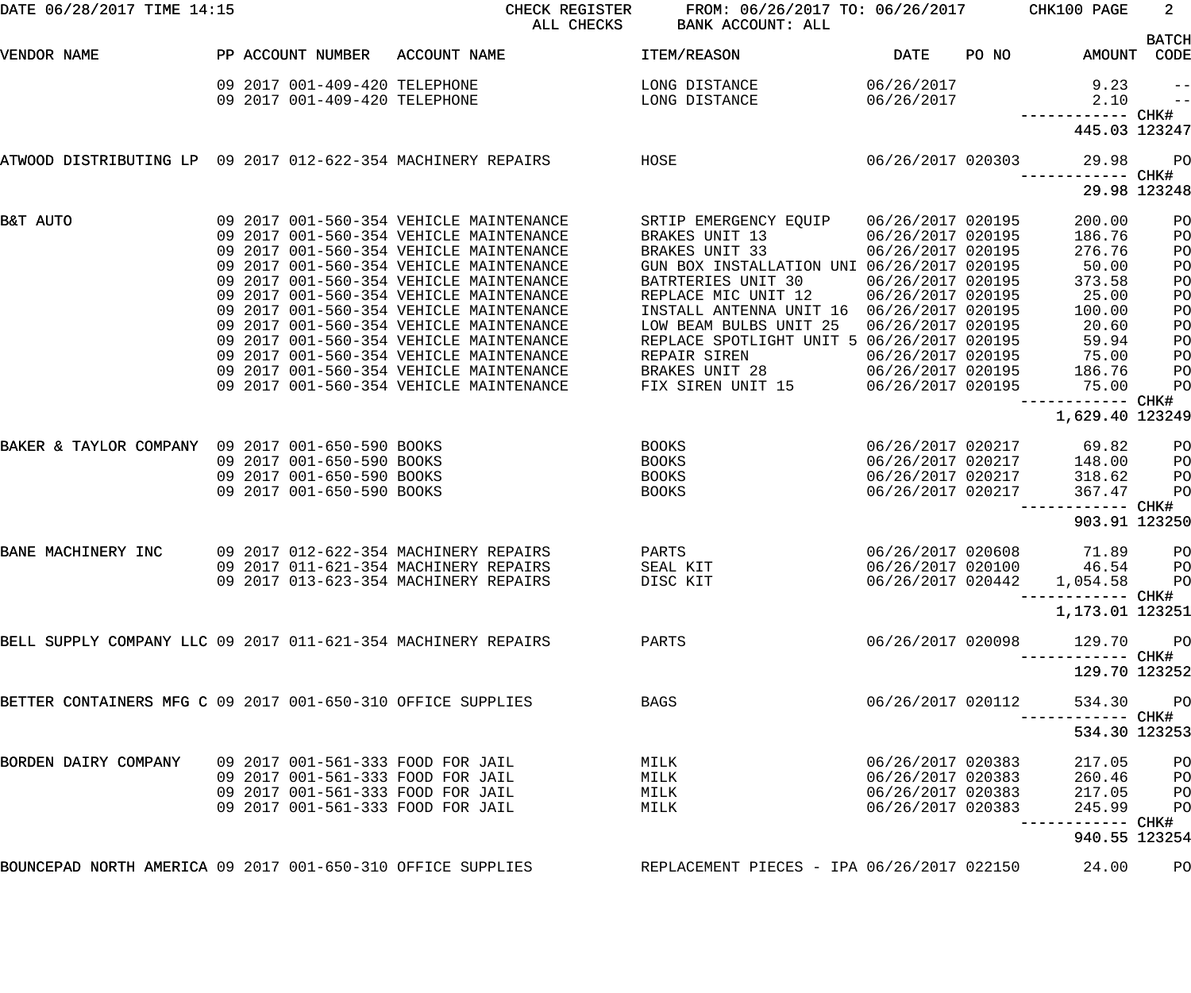| DATE 06/28/2017 TIME 14:15                                    |                                                                | CHECK REGISTER<br>ALL CHECKS                                                                                                                                             | FROM: 06/26/2017 TO: 06/26/2017<br>BANK ACCOUNT: ALL                                                                              |                                                                                  |       | CHK100 PAGE                                     | 2 <sup>1</sup>                  |
|---------------------------------------------------------------|----------------------------------------------------------------|--------------------------------------------------------------------------------------------------------------------------------------------------------------------------|-----------------------------------------------------------------------------------------------------------------------------------|----------------------------------------------------------------------------------|-------|-------------------------------------------------|---------------------------------|
| VENDOR NAME                                                   | PP ACCOUNT NUMBER                                              | ACCOUNT NAME                                                                                                                                                             | ITEM/REASON                                                                                                                       | <b>DATE</b>                                                                      | PO NO | AMOUNT CODE                                     | <b>BATCH</b>                    |
|                                                               | 09 2017 001-409-420 TELEPHONE<br>09 2017 001-409-420 TELEPHONE |                                                                                                                                                                          | LONG DISTANCE<br>LONG DISTANCE                                                                                                    | 06/26/2017<br>06/26/2017                                                         |       | 9.23<br>2.10                                    | $\qquad \qquad -$<br>$\qquad -$ |
|                                                               |                                                                |                                                                                                                                                                          |                                                                                                                                   |                                                                                  |       | ------------ CHK#<br>445.03 123247              |                                 |
| ATWOOD DISTRIBUTING LP 09 2017 012-622-354 MACHINERY REPAIRS  |                                                                |                                                                                                                                                                          | HOSE                                                                                                                              | 06/26/2017 020303                                                                |       | 29.98<br>------------ CHK#                      | P <sub>O</sub>                  |
|                                                               |                                                                |                                                                                                                                                                          |                                                                                                                                   |                                                                                  |       | 29.98 123248                                    |                                 |
| B&T AUTO                                                      |                                                                | 09 2017 001-560-354 VEHICLE MAINTENANCE<br>09 2017 001-560-354 VEHICLE MAINTENANCE<br>09 2017 001-560-354 VEHICLE MAINTENANCE                                            | SRTIP EMERGENCY EQUIP<br>BRAKES UNIT 13<br>BRAKES UNIT 33                                                                         | 06/26/2017 020195<br>06/26/2017 020195<br>06/26/2017 020195                      |       | 200.00<br>186.76<br>276.76                      | PO<br>PO<br>PO                  |
|                                                               |                                                                | 09 2017 001-560-354 VEHICLE MAINTENANCE<br>09 2017 001-560-354 VEHICLE MAINTENANCE<br>09 2017 001-560-354 VEHICLE MAINTENANCE                                            | GUN BOX INSTALLATION UNI 06/26/2017 020195<br>BATRTERIES UNIT 30<br>REPLACE MIC UNIT 12                                           | 06/26/2017 020195<br>06/26/2017 020195                                           |       | 50.00<br>373.58<br>25.00                        | PO<br>PO<br>PO                  |
|                                                               |                                                                | 09 2017 001-560-354 VEHICLE MAINTENANCE<br>09 2017 001-560-354 VEHICLE MAINTENANCE<br>09 2017 001-560-354 VEHICLE MAINTENANCE<br>09 2017 001-560-354 VEHICLE MAINTENANCE | INSTALL ANTENNA UNIT 16 06/26/2017 020195<br>LOW BEAM BULBS UNIT 25<br>REPLACE SPOTLIGHT UNIT 5 06/26/2017 020195<br>REPAIR SIREN | 06/26/2017 020195<br>06/26/2017 020195                                           |       | 100.00<br>20.60<br>59.94<br>75.00               | PO<br>PO<br>PO<br>PO            |
|                                                               |                                                                | 09 2017 001-560-354 VEHICLE MAINTENANCE<br>09 2017 001-560-354 VEHICLE MAINTENANCE                                                                                       | BRAKES UNIT 28<br>FIX SIREN UNIT 15                                                                                               | 06/26/2017 020195<br>06/26/2017 020195                                           |       | 186.76<br>75.00<br>------------ CHK#            | PO<br>PO                        |
|                                                               |                                                                |                                                                                                                                                                          |                                                                                                                                   |                                                                                  |       | 1,629.40 123249                                 |                                 |
| BAKER & TAYLOR COMPANY 09 2017 001-650-590 BOOKS              | 09 2017 001-650-590 BOOKS<br>09 2017 001-650-590 BOOKS         |                                                                                                                                                                          | BOOKS<br>BOOKS<br>BOOKS                                                                                                           | 06/26/2017 020217<br>06/26/2017 020217<br>06/26/2017 020217                      |       | 69.82<br>148.00<br>318.62                       | PO<br>PO<br>PO                  |
|                                                               | 09 2017 001-650-590 BOOKS                                      |                                                                                                                                                                          | <b>BOOKS</b>                                                                                                                      | 06/26/2017 020217                                                                |       | 367.47<br>------------ CHK#                     | PO                              |
|                                                               |                                                                |                                                                                                                                                                          |                                                                                                                                   |                                                                                  |       | 903.91 123250                                   |                                 |
| BANE MACHINERY INC                                            |                                                                | 09 2017 012-622-354 MACHINERY REPAIRS<br>09 2017 011-621-354 MACHINERY REPAIRS<br>09 2017 013-623-354 MACHINERY REPAIRS                                                  | PARTS<br>SEAL KIT<br>DISC KIT                                                                                                     | 06/26/2017 020608<br>06/26/2017 020442                                           |       | 71.89<br>06/26/2017 020100 46.54 PO<br>1,054.58 | PO<br><b>PO</b><br>---- CHK#    |
|                                                               |                                                                |                                                                                                                                                                          |                                                                                                                                   |                                                                                  |       | 1,173.01 123251                                 |                                 |
| BELL SUPPLY COMPANY LLC 09 2017 011-621-354 MACHINERY REPAIRS |                                                                |                                                                                                                                                                          | PARTS                                                                                                                             | 06/26/2017 020098                                                                |       | 129.70                                          | $P$ O                           |
|                                                               |                                                                |                                                                                                                                                                          |                                                                                                                                   |                                                                                  |       | 129.70 123252                                   |                                 |
| BETTER CONTAINERS MFG C 09 2017 001-650-310 OFFICE SUPPLIES   |                                                                |                                                                                                                                                                          | <b>BAGS</b>                                                                                                                       | 06/26/2017 020112                                                                |       | 534.30                                          | P <sub>O</sub><br>----- CHK#    |
|                                                               |                                                                |                                                                                                                                                                          |                                                                                                                                   |                                                                                  |       | 534.30 123253                                   |                                 |
| BORDEN DAIRY COMPANY                                          |                                                                | 09 2017 001-561-333 FOOD FOR JAIL<br>09 2017 001-561-333 FOOD FOR JAIL<br>09 2017 001-561-333 FOOD FOR JAIL<br>09 2017 001-561-333 FOOD FOR JAIL                         | MILK<br>MILK<br>MILK<br>MILK                                                                                                      | 06/26/2017 020383<br>06/26/2017 020383<br>06/26/2017 020383<br>06/26/2017 020383 |       | 217.05<br>260.46<br>217.05<br>245.99            | PO<br>PO<br>PO<br>PO            |
|                                                               |                                                                |                                                                                                                                                                          |                                                                                                                                   |                                                                                  |       | ------- CHK#<br>940.55 123254                   |                                 |
| BOUNCEPAD NORTH AMERICA 09 2017 001-650-310 OFFICE SUPPLIES   |                                                                |                                                                                                                                                                          | REPLACEMENT PIECES - IPA 06/26/2017 022150                                                                                        |                                                                                  |       | 24.00                                           | PO                              |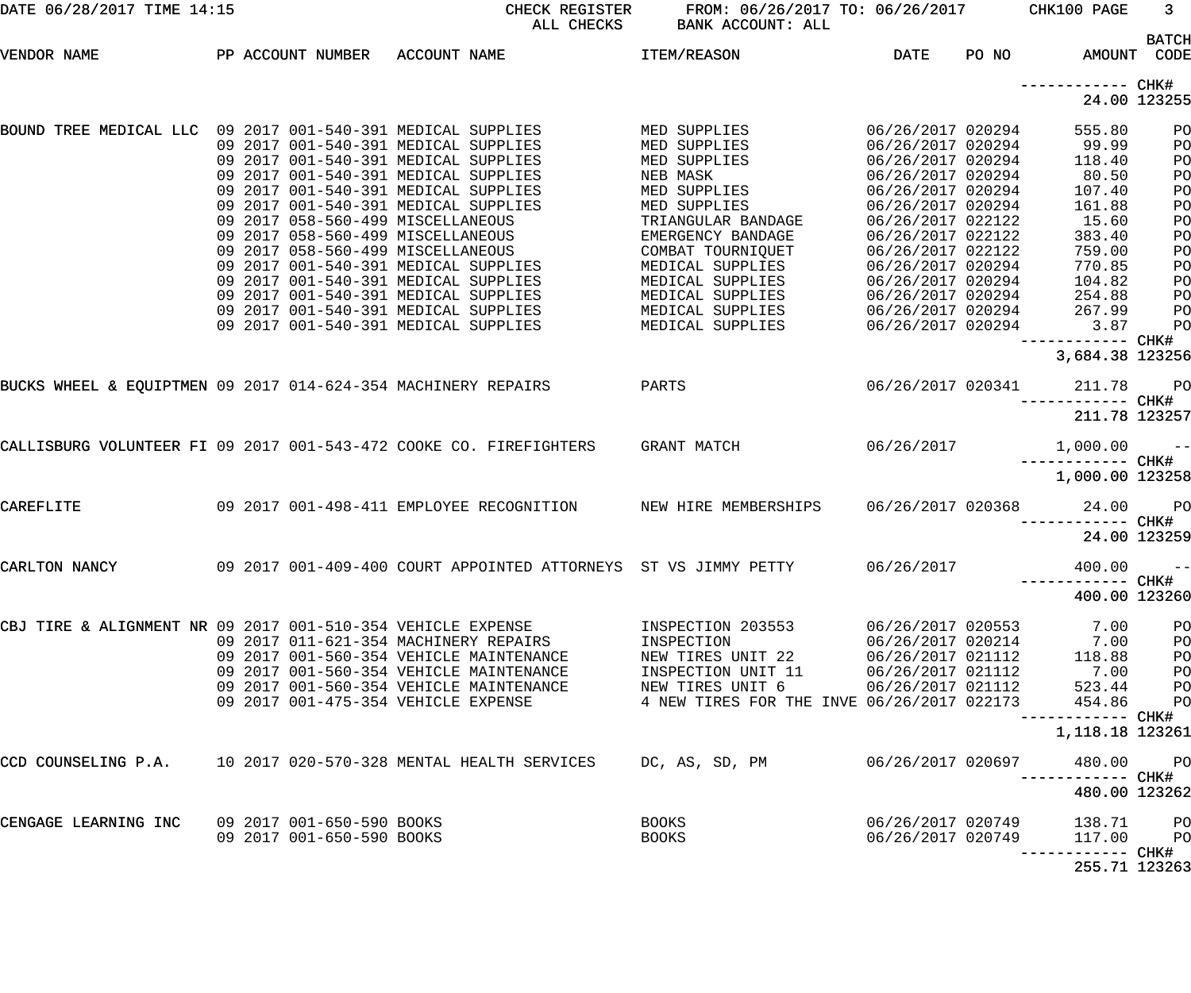| DATE 06/28/2017 TIME 14:15                                         |  |                                                                                                                                                                                                                                                                                                                                                                                                                                                                                                                             | CHECK REGISTER<br>ALL CHECKS                                                                                                                                           | FROM: 06/26/2017 TO: 06/26/2017 CHK100 PAGE<br>BANK ACCOUNT: ALL                                                                                                                                                                                             |                                                                                                                                                                                                                                                                                                    |       |                                                                                                                                                          | 3                                                                                |
|--------------------------------------------------------------------|--|-----------------------------------------------------------------------------------------------------------------------------------------------------------------------------------------------------------------------------------------------------------------------------------------------------------------------------------------------------------------------------------------------------------------------------------------------------------------------------------------------------------------------------|------------------------------------------------------------------------------------------------------------------------------------------------------------------------|--------------------------------------------------------------------------------------------------------------------------------------------------------------------------------------------------------------------------------------------------------------|----------------------------------------------------------------------------------------------------------------------------------------------------------------------------------------------------------------------------------------------------------------------------------------------------|-------|----------------------------------------------------------------------------------------------------------------------------------------------------------|----------------------------------------------------------------------------------|
| VENDOR NAME                                                        |  | PP ACCOUNT NUMBER ACCOUNT NAME                                                                                                                                                                                                                                                                                                                                                                                                                                                                                              |                                                                                                                                                                        | <b>ITEM/REASON</b>                                                                                                                                                                                                                                           | DATE                                                                                                                                                                                                                                                                                               | PO NO |                                                                                                                                                          | <b>BATCH</b><br>AMOUNT CODE                                                      |
|                                                                    |  |                                                                                                                                                                                                                                                                                                                                                                                                                                                                                                                             |                                                                                                                                                                        |                                                                                                                                                                                                                                                              |                                                                                                                                                                                                                                                                                                    |       | ------------ CHK#                                                                                                                                        | 24.00 123255                                                                     |
| BOUND TREE MEDICAL LLC 09 2017 001-540-391 MEDICAL SUPPLIES        |  | 09 2017 001-540-391 MEDICAL SUPPLIES<br>09 2017 001-540-391 MEDICAL SUPPLIES<br>09 2017 001-540-391 MEDICAL SUPPLIES<br>09 2017 001-540-391 MEDICAL SUPPLIES<br>09 2017 001-540-391 MEDICAL SUPPLIES<br>09 2017 058-560-499 MISCELLANEOUS<br>09 2017 058-560-499 MISCELLANEOUS<br>09 2017 058-560-499 MISCELLANEOUS<br>09 2017 001-540-391 MEDICAL SUPPLIES<br>09 2017 001-540-391 MEDICAL SUPPLIES<br>09 2017 001-540-391 MEDICAL SUPPLIES<br>09 2017 001-540-391 MEDICAL SUPPLIES<br>09 2017 001-540-391 MEDICAL SUPPLIES |                                                                                                                                                                        | MED SUPPLIES<br>MED SUPPLIES<br>MED SUPPLIES<br>NEB MASK<br>MED SUPPLIES<br>MED SUPPLIES<br>TRIANGULAR BANDAGE<br>EMERGENCY BANDAGE<br>COMBAT TOURNIQUET<br>MEDICAL SUPPLIES<br>MEDICAL SUPPLIES<br>MEDICAL SUPPLIES<br>MEDICAL SUPPLIES<br>MEDICAL SUPPLIES | 06/26/2017 020294<br>06/26/2017 020294<br>06/26/2017 020294<br>06/26/2017 020294<br>06/26/2017 020294<br>06/26/2017 020294<br>06/26/2017 022122<br>06/26/2017 022122<br>06/26/2017 022122<br>06/26/2017 020294<br>06/26/2017 020294<br>06/26/2017 020294<br>06/26/2017 020294<br>06/26/2017 020294 |       | 555.80<br>99.99<br>118.40<br>80.50<br>107.40<br>161.88<br>15.60<br>383.40<br>759.00<br>770.85<br>104.82<br>254.88<br>267.99<br>3.87<br>------------ CHK# | PO<br>PO<br>PO<br>PO<br>PO<br>PO<br>PO<br>PO<br>PO<br>PO<br>PO<br>PO<br>PO<br>PO |
| BUCKS WHEEL & EQUIPTMEN 09 2017 014-624-354 MACHINERY REPAIRS      |  |                                                                                                                                                                                                                                                                                                                                                                                                                                                                                                                             | PARTS                                                                                                                                                                  |                                                                                                                                                                                                                                                              | 06/26/2017 020341                                                                                                                                                                                                                                                                                  |       | 3,684.38 123256<br>211.78                                                                                                                                | PO                                                                               |
| CALLISBURG VOLUNTEER FI 09 2017 001-543-472 COOKE CO. FIREFIGHTERS |  |                                                                                                                                                                                                                                                                                                                                                                                                                                                                                                                             |                                                                                                                                                                        | GRANT MATCH                                                                                                                                                                                                                                                  | 06/26/2017                                                                                                                                                                                                                                                                                         |       | ------------ CHK#<br>1,000.00                                                                                                                            | 211.78 123257<br>$ -$                                                            |
| CAREFLITE                                                          |  |                                                                                                                                                                                                                                                                                                                                                                                                                                                                                                                             | 09 2017 001-498-411 EMPLOYEE RECOGNITION                                                                                                                               | NEW HIRE MEMBERSHIPS                                                                                                                                                                                                                                         | 06/26/2017 020368                                                                                                                                                                                                                                                                                  |       | 1,000.00 123258<br>24.00                                                                                                                                 | PO<br>24.00 123259                                                               |
| CARLTON NANCY                                                      |  |                                                                                                                                                                                                                                                                                                                                                                                                                                                                                                                             | 09 2017 001-409-400 COURT APPOINTED ATTORNEYS ST VS JIMMY PETTY                                                                                                        |                                                                                                                                                                                                                                                              | 06/26/2017                                                                                                                                                                                                                                                                                         |       | 400.00<br>------------ CHK#                                                                                                                              | $- -$<br>400.00 123260                                                           |
| CBJ TIRE & ALIGNMENT NR 09 2017 001-510-354 VEHICLE EXPENSE        |  | 09 2017 001-475-354 VEHICLE EXPENSE                                                                                                                                                                                                                                                                                                                                                                                                                                                                                         | 09 2017 011-621-354 MACHINERY REPAIRS<br>09 2017 001-560-354 VEHICLE MAINTENANCE<br>09 2017 001-560-354 VEHICLE MAINTENANCE<br>09 2017 001-560-354 VEHICLE MAINTENANCE | INSPECTION 203553<br>INSPECTION<br>NEW TIRES UNIT 22<br>INSPECTION UNIT 11<br>NEW TIRES UNIT 6<br>4 NEW TIRES FOR THE INVE 06/26/2017 022173                                                                                                                 | 06/26/2017 020553<br>06/26/2017 020214<br>06/26/2017 021112<br>06/26/2017 021112<br>06/26/2017 021112                                                                                                                                                                                              |       | 7.00<br>7.00<br>118.88<br>7.00<br>523.44<br>454.86<br>------------ CHK#<br>1,118.18 123261                                                               | PO<br>PO<br>PO<br>PO<br>PO<br>PO                                                 |
| CCD COUNSELING P.A. 10 2017 020-570-328 MENTAL HEALTH SERVICES     |  |                                                                                                                                                                                                                                                                                                                                                                                                                                                                                                                             |                                                                                                                                                                        | DC, AS, SD, PM                                                                                                                                                                                                                                               | 06/26/2017 020697                                                                                                                                                                                                                                                                                  |       | 480.00                                                                                                                                                   | PO<br>480.00 123262                                                              |
| CENGAGE LEARNING INC                                               |  | 09 2017 001-650-590 BOOKS<br>09 2017 001-650-590 BOOKS                                                                                                                                                                                                                                                                                                                                                                                                                                                                      |                                                                                                                                                                        | BOOKS<br>BOOKS                                                                                                                                                                                                                                               | 06/26/2017 020749<br>06/26/2017 020749                                                                                                                                                                                                                                                             |       | 138.71<br>117.00<br>------------ CHK#                                                                                                                    | PO<br>PO                                                                         |
|                                                                    |  |                                                                                                                                                                                                                                                                                                                                                                                                                                                                                                                             |                                                                                                                                                                        |                                                                                                                                                                                                                                                              |                                                                                                                                                                                                                                                                                                    |       |                                                                                                                                                          | 255.71 123263                                                                    |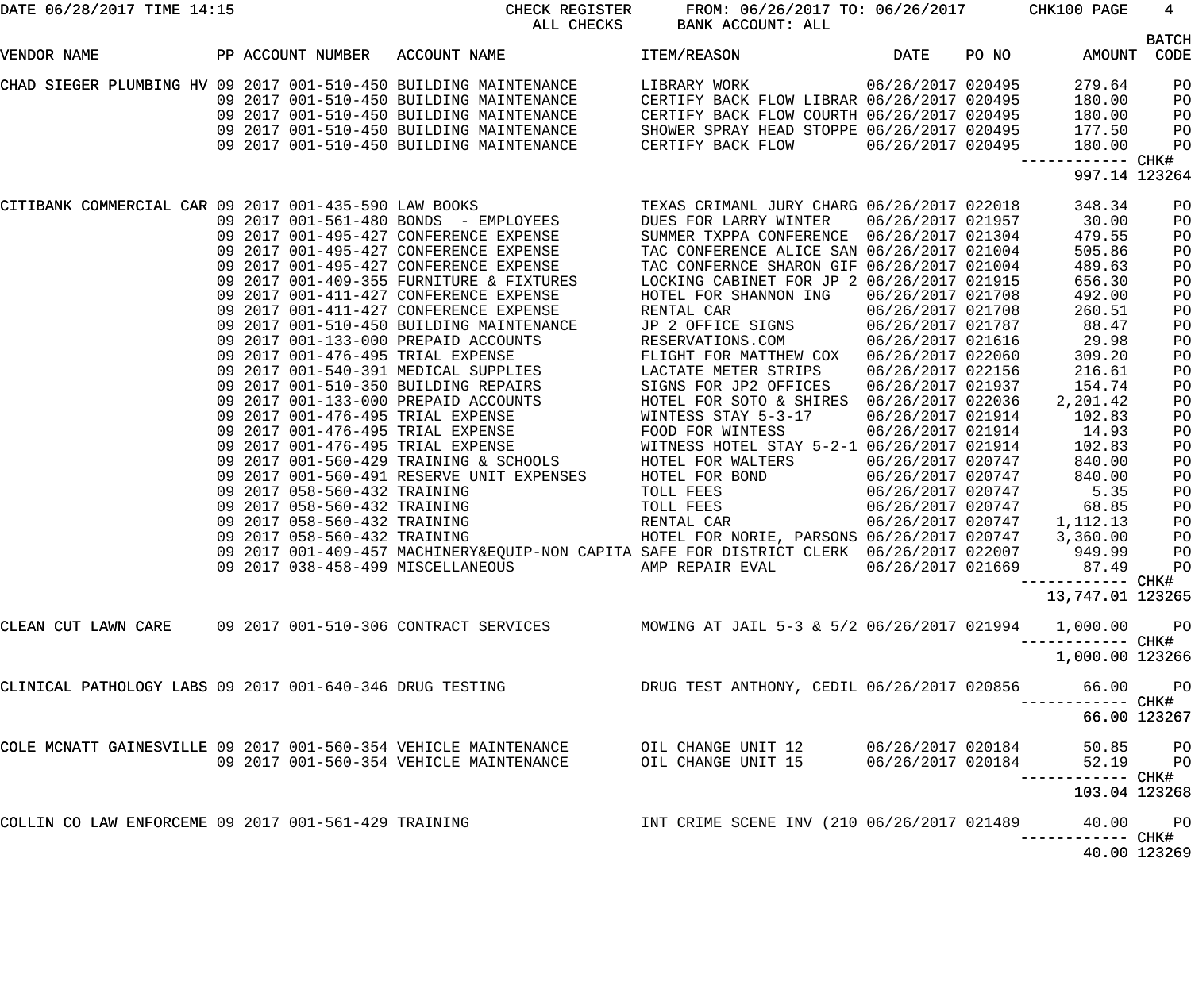| DATE 06/28/2017 TIME 14:15                                      |  | CHECK REGISTER                                                                                                                                                                                                                          | FROM: 06/26/2017 TO: 06/26/2017 CHK100 PAGE<br>ALL CHECKS BANK ACCOUNT: ALL |                   |       |                                    | $4\overline{ }$      |
|-----------------------------------------------------------------|--|-----------------------------------------------------------------------------------------------------------------------------------------------------------------------------------------------------------------------------------------|-----------------------------------------------------------------------------|-------------------|-------|------------------------------------|----------------------|
| VENDOR NAME                                                     |  | PP ACCOUNT NUMBER ACCOUNT NAME TEM/REASON                                                                                                                                                                                               | <b>DATE</b>                                                                 |                   | PO NO | AMOUNT                             | <b>BATCH</b><br>CODE |
|                                                                 |  | CHAD SIEGER PLUMBING HV 09 2017 001-510-450 BUILDING MAINTENANCE LIBRARY WORK 06/26/2017 020495<br>09 2017 001-510-450 BUILDING MAINTENANCE CERTIFY BACK FLOW LIBRAR 06/26/2017 020495                                                  |                                                                             |                   |       | 279.64                             | PO                   |
|                                                                 |  |                                                                                                                                                                                                                                         |                                                                             |                   |       | 180.00                             | PO                   |
|                                                                 |  |                                                                                                                                                                                                                                         |                                                                             |                   |       | 180.00                             | PO                   |
|                                                                 |  |                                                                                                                                                                                                                                         |                                                                             |                   |       | 177.50                             | PO                   |
|                                                                 |  | 09 2017 001-510-450 BUILDING MAINTENANCE CERTIFY BACK FLOW COURTH 06/26/2017 020495<br>09 2017 001-510-450 BUILDING MAINTENANCE SHOWER SPRAY HEAD STOPPE 06/26/2017 020495<br>09 2017 001-510-450 BUILDING MAINTENANCE CERTIFY BACK     |                                                                             |                   |       | 180.00                             | PO                   |
|                                                                 |  |                                                                                                                                                                                                                                         |                                                                             |                   |       | ------------ CHK#<br>997.14 123264 |                      |
|                                                                 |  | CITIBANK COMMERCIAL CAR 09 2017 001-435-590 LAW BOOKS<br>09 2017 001-561-480 BONDS - EMPLOYEES<br>09 2017 001-495-427 CONFERENCE EXPENSE<br>09 2017 001-495-427 CONFERENCE EXPENSE<br>09 2017 001-495-427 CONFERENCE EXPENSE<br>09 2017 |                                                                             |                   |       | 348.34                             | PO                   |
|                                                                 |  |                                                                                                                                                                                                                                         |                                                                             |                   |       | 30.00                              | PO                   |
|                                                                 |  |                                                                                                                                                                                                                                         |                                                                             |                   |       | 479.55                             | PO                   |
|                                                                 |  |                                                                                                                                                                                                                                         |                                                                             |                   |       | 505.86                             | PO                   |
|                                                                 |  |                                                                                                                                                                                                                                         |                                                                             |                   |       | 489.63                             | PO                   |
|                                                                 |  |                                                                                                                                                                                                                                         |                                                                             |                   |       | 656.30                             | PO                   |
|                                                                 |  | 09  2017  001-411-427  CONFERENCE EXPENSE                                                                                                                                                                                               | HOTEL FOR SHANNON ING                                                       | 06/26/2017 021708 |       | 492.00                             | PO                   |
|                                                                 |  |                                                                                                                                                                                                                                         | RENTAL CAR                                                                  | 06/26/2017 021708 |       | 260.51                             | PO                   |
|                                                                 |  | 09 2017 001-411-427 CONFERENCE EXPENSE<br>09 2017 001-510-450 BUILDING MAINTENANCE                                                                                                                                                      | JP 2 OFFICE SIGNS 06/26/2017 021787                                         |                   |       | 88.47                              | PO                   |
|                                                                 |  |                                                                                                                                                                                                                                         |                                                                             |                   |       | 29.98                              | PO                   |
|                                                                 |  | 09 2017 001-510-450 BULLDING MAINTENANCE (19 2 OFFICE SIGNS 106/26/2017 021616<br>09 2017 001-476-495 TRIAL EXPENSE FLIGHT FOR MATTHEW COX 06/26/2017 021616<br>09 2017 001-540-391 MEDICAL SUPPLIES LACTATE METER STRIPS 06/26/20      |                                                                             |                   |       | 309.20                             | PO                   |
|                                                                 |  |                                                                                                                                                                                                                                         |                                                                             |                   |       | 216.61                             | PO                   |
|                                                                 |  |                                                                                                                                                                                                                                         |                                                                             |                   |       | 154.74                             | PO                   |
|                                                                 |  |                                                                                                                                                                                                                                         |                                                                             |                   |       | 2,201.42                           | PO                   |
|                                                                 |  |                                                                                                                                                                                                                                         |                                                                             |                   |       | 102.83                             | PO                   |
|                                                                 |  |                                                                                                                                                                                                                                         |                                                                             |                   |       | 14.93                              | PO                   |
|                                                                 |  |                                                                                                                                                                                                                                         |                                                                             |                   |       | 102.83                             | PO                   |
|                                                                 |  |                                                                                                                                                                                                                                         |                                                                             |                   |       | 840.00                             | PO                   |
|                                                                 |  | 09 2017 001-560-491 RESERVE UNIT EXPENSES HOTEL FOR BOND                                                                                                                                                                                |                                                                             | 06/26/2017 020747 |       | 840.00                             | PO                   |
|                                                                 |  |                                                                                                                                                                                                                                         |                                                                             |                   |       | 5.35                               | PO                   |
|                                                                 |  |                                                                                                                                                                                                                                         |                                                                             |                   |       | 68.85                              | PO                   |
|                                                                 |  |                                                                                                                                                                                                                                         |                                                                             |                   |       | 1,112.13                           | PO                   |
|                                                                 |  |                                                                                                                                                                                                                                         |                                                                             |                   |       | 3,360.00                           | PO                   |
|                                                                 |  | 09 2017 001-409-457 MACHINERY&EQUIP-NON CAPITA SAFE FOR DISTRICT CLERK 06/26/2017 022007                                                                                                                                                |                                                                             |                   |       | 949.99                             | PO                   |
|                                                                 |  | 09 2017 038-458-499 MISCELLANEOUS                                                                                                                                                                                                       | AMP REPAIR EVAL                                                             | 06/26/2017 021669 |       | 87.49 PO                           |                      |
|                                                                 |  |                                                                                                                                                                                                                                         |                                                                             |                   |       |                                    |                      |
|                                                                 |  |                                                                                                                                                                                                                                         |                                                                             |                   |       | 13,747.01 123265                   |                      |
| CLEAN CUT LAWN CARE 09 2017 001-510-306 CONTRACT SERVICES       |  |                                                                                                                                                                                                                                         | MOWING AT JAIL 5-3 & 5/2 06/26/2017 021994                                  |                   |       | 1,000.00 PO                        |                      |
|                                                                 |  |                                                                                                                                                                                                                                         |                                                                             |                   |       | 1,000.00 123266                    |                      |
|                                                                 |  | CLINICAL PATHOLOGY LABS 09 2017 001-640-346 DRUG TESTING             DRUG TEST ANTHONY, CEDIL 06/26/2017 020856     66.00   PO                                                                                                          |                                                                             |                   |       |                                    |                      |
|                                                                 |  |                                                                                                                                                                                                                                         |                                                                             |                   |       | 66.00 123267                       |                      |
| COLE MCNATT GAINESVILLE 09 2017 001-560-354 VEHICLE MAINTENANCE |  |                                                                                                                                                                                                                                         | OIL CHANGE UNIT 12 06/26/2017 020184                                        |                   |       | 50.85 PO                           |                      |
|                                                                 |  | 09 2017 001-560-354 VEHICLE MAINTENANCE                                                                                                                                                                                                 | OIL CHANGE UNIT 15                                                          | 06/26/2017 020184 |       | 52.19 PO                           |                      |
|                                                                 |  |                                                                                                                                                                                                                                         |                                                                             |                   |       | 103.04 123268                      |                      |
| COLLIN CO LAW ENFORCEME 09 2017 001-561-429 TRAINING            |  |                                                                                                                                                                                                                                         | INT CRIME SCENE INV (210 06/26/2017 021489                                  |                   |       | 40.00 PO<br>----------- CHK#       |                      |
|                                                                 |  |                                                                                                                                                                                                                                         |                                                                             |                   |       | 40.00 123269                       |                      |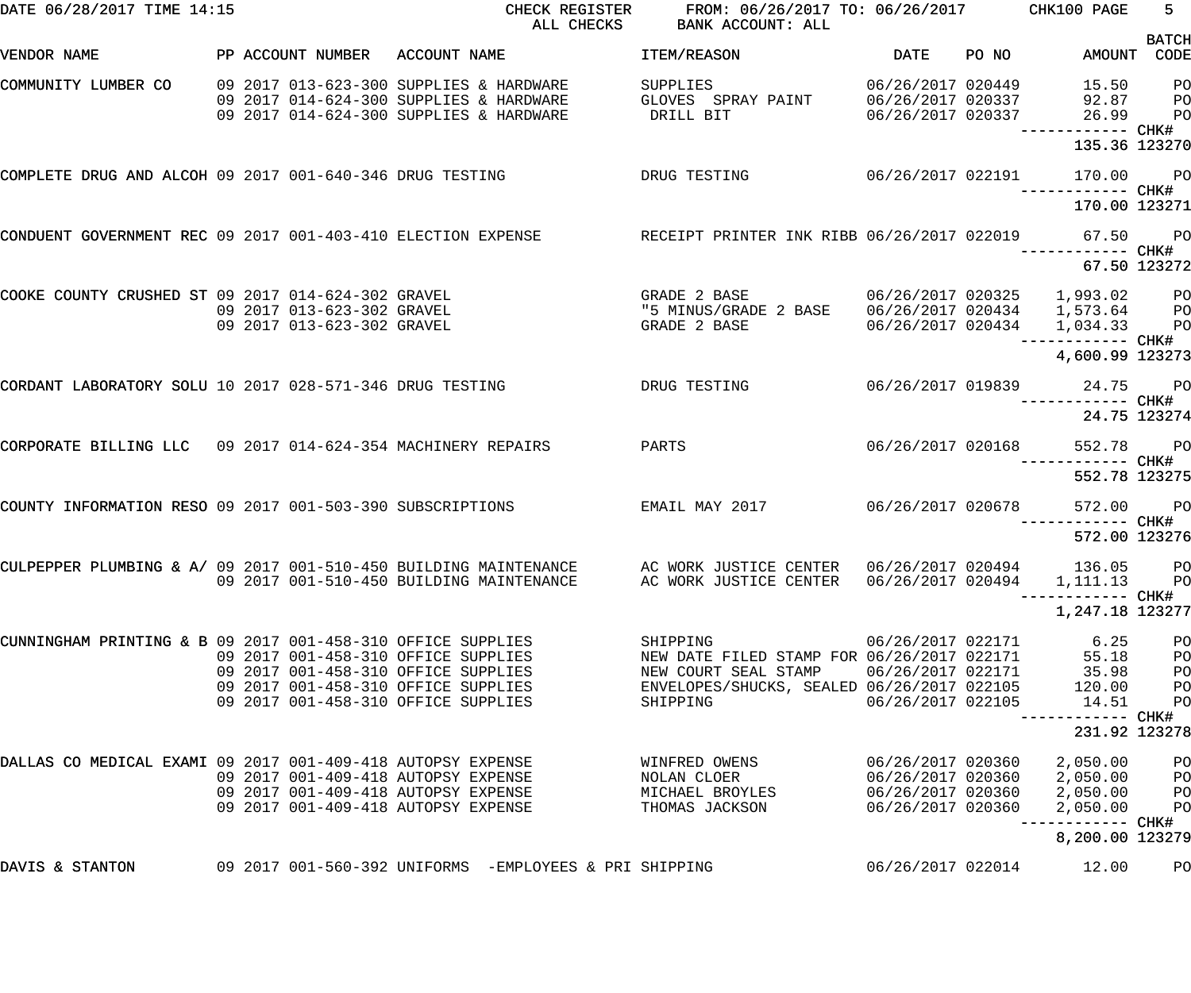| DATE 06/28/2017 TIME 14:15                                                    |  |                                                                                                                                                          | CHECK REGISTER<br>ALL CHECKS | FROM: 06/26/2017 TO: 06/26/2017 CHK100 PAGE<br>BANK ACCOUNT: ALL                                                                                                 |                                                                                  |       |                                                              | $5 -$                                  |
|-------------------------------------------------------------------------------|--|----------------------------------------------------------------------------------------------------------------------------------------------------------|------------------------------|------------------------------------------------------------------------------------------------------------------------------------------------------------------|----------------------------------------------------------------------------------|-------|--------------------------------------------------------------|----------------------------------------|
| VENDOR NAME                                                                   |  | PP ACCOUNT NUMBER ACCOUNT NAME                                                                                                                           |                              | ITEM/REASON                                                                                                                                                      | DATE                                                                             | PO NO | AMOUNT CODE                                                  | <b>BATCH</b>                           |
| COMMUNITY LUMBER CO                                                           |  | 09 2017 013-623-300 SUPPLIES & HARDWARE<br>09 2017 014-624-300 SUPPLIES & HARDWARE<br>09 2017 014-624-300 SUPPLIES & HARDWARE                            |                              | SUPPLIES<br>GLOVES SPRAY PAINT<br>DRILL BIT                                                                                                                      | 06/26/2017 020449<br>06/26/2017 020337<br>06/26/2017 020337                      |       | 15.50<br>92.87<br>26.99<br>---------- CHK#                   | P <sub>O</sub><br>PO<br>P <sub>O</sub> |
|                                                                               |  |                                                                                                                                                          |                              |                                                                                                                                                                  |                                                                                  |       | 135.36 123270                                                |                                        |
| COMPLETE DRUG AND ALCOH 09 2017 001-640-346 DRUG TESTING TESTING DRUG TESTING |  |                                                                                                                                                          |                              | 06/26/2017 022191                                                                                                                                                |                                                                                  |       | 170.00                                                       | <b>PO</b>                              |
|                                                                               |  |                                                                                                                                                          |                              |                                                                                                                                                                  |                                                                                  |       | 170.00 123271                                                |                                        |
| CONDUENT GOVERNMENT REC 09 2017 001-403-410 ELECTION EXPENSE                  |  |                                                                                                                                                          |                              | RECEIPT PRINTER INK RIBB 06/26/2017 022019 67.50 PO                                                                                                              |                                                                                  |       | ---------- CHK#                                              |                                        |
|                                                                               |  |                                                                                                                                                          |                              |                                                                                                                                                                  |                                                                                  |       |                                                              | 67.50 123272                           |
| COOKE COUNTY CRUSHED ST 09 2017 014-624-302 GRAVEL                            |  | 09 2017 013-623-302 GRAVEL<br>09 2017 013-623-302 GRAVEL                                                                                                 |                              | GRADE 2 BASE 66/26/2017 020325 1,993.02 PO<br>GRADE 2 BASE                                                                                                       |                                                                                  |       | 06/26/2017 020434  1,034.33  PO                              |                                        |
|                                                                               |  |                                                                                                                                                          |                              |                                                                                                                                                                  |                                                                                  |       | --------- CHK#<br>4,600.99 123273                            |                                        |
| CORDANT LABORATORY SOLU 10 2017 028-571-346 DRUG TESTING                      |  |                                                                                                                                                          |                              | DRUG TESTING                                                                                                                                                     |                                                                                  |       | 06/26/2017 019839 24.75 PO<br>------------ CHK#              |                                        |
|                                                                               |  |                                                                                                                                                          |                              |                                                                                                                                                                  |                                                                                  |       |                                                              | 24.75 123274                           |
| CORPORATE BILLING LLC 09 2017 014-624-354 MACHINERY REPAIRS                   |  |                                                                                                                                                          |                              | PARTS                                                                                                                                                            | 06/26/2017 020168                                                                |       | 552.78 PO                                                    |                                        |
|                                                                               |  |                                                                                                                                                          |                              |                                                                                                                                                                  |                                                                                  |       | 552.78 123275                                                |                                        |
| COUNTY INFORMATION RESO 09 2017 001-503-390 SUBSCRIPTIONS TEMAIL MAY 2017     |  |                                                                                                                                                          |                              |                                                                                                                                                                  | 06/26/2017 020678                                                                |       | 572.00 PO                                                    |                                        |
|                                                                               |  |                                                                                                                                                          |                              |                                                                                                                                                                  |                                                                                  |       | 572.00 123276                                                |                                        |
|                                                                               |  | 09 2017 001-510-450 BUILDING MAINTENANCE                                                                                                                 |                              | CULPEPPER PLUMBING & A/09 2017 001-510-450 BUILDING MAINTENANCE AC WORK JUSTICE CENTER 06/26/2017 020494 136.05 PO<br>AC WORK JUSTICE CENTER $06/26/2017$ 020494 |                                                                                  |       | 1,111.13<br>------------ CHK#                                | P <sub>O</sub>                         |
|                                                                               |  |                                                                                                                                                          |                              |                                                                                                                                                                  |                                                                                  |       | 1,247.18 123277                                              |                                        |
| CUNNINGHAM PRINTING & B 09 2017 001-458-310 OFFICE SUPPLIES                   |  | 09 2017 001-458-310 OFFICE SUPPLIES<br>09 2017 001-458-310 OFFICE SUPPLIES<br>09 2017 001-458-310 OFFICE SUPPLIES<br>09 2017 001-458-310 OFFICE SUPPLIES |                              | SHIPPING<br>NEW DATE FILED STAMP FOR 06/26/2017 022171<br>NEW COURT SEAL STAMP<br>ENVELOPES/SHUCKS, SEALED 06/26/2017 022105<br>SHIPPING                         | 06/26/2017 022171<br>06/26/2017 022171<br>06/26/2017 022105                      |       | 6.25<br>55.18<br>35.98<br>120.00<br>14.51                    | PO<br>PO<br>PO<br>PO<br>PO             |
|                                                                               |  |                                                                                                                                                          |                              |                                                                                                                                                                  |                                                                                  |       | ------------ CHK#<br>231.92 123278                           |                                        |
| DALLAS CO MEDICAL EXAMI 09 2017 001-409-418 AUTOPSY EXPENSE                   |  | 09 2017 001-409-418 AUTOPSY EXPENSE<br>09 2017 001-409-418 AUTOPSY EXPENSE<br>09 2017 001-409-418 AUTOPSY EXPENSE                                        |                              | WINFRED OWENS<br>NOLAN CLOER<br>MICHAEL BROYLES<br>THOMAS JACKSON                                                                                                | 06/26/2017 020360<br>06/26/2017 020360<br>06/26/2017 020360<br>06/26/2017 020360 |       | 2,050.00<br>2,050.00<br>2,050.00<br>2,050.00<br>------------ | PO<br>PO<br>PO<br>PO<br>CHK#           |
|                                                                               |  |                                                                                                                                                          |                              |                                                                                                                                                                  |                                                                                  |       | 8,200.00 123279                                              |                                        |
| DAVIS & STANTON                                                               |  |                                                                                                                                                          |                              |                                                                                                                                                                  | 06/26/2017 022014                                                                |       | 12.00                                                        | PO                                     |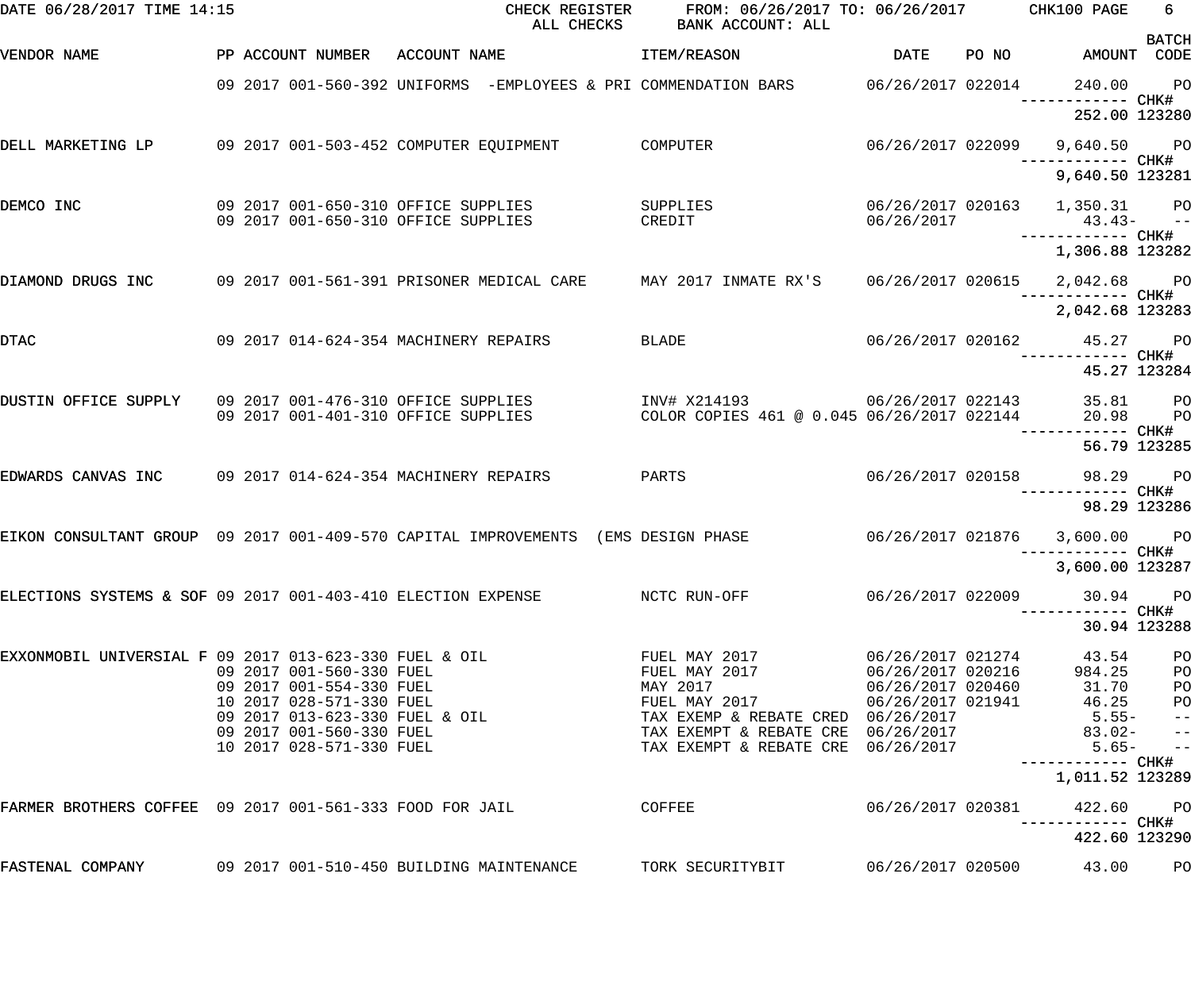| DATE 06/28/2017 TIME 14:15                                                        |  |                                                                            |              | CHECK REGISTER<br>ALL CHECKS | FROM: 06/26/2017 TO: 06/26/2017 CHK100 PAGE<br>BANK ACCOUNT: ALL                             |                                      |       |                                                 | 6                  |
|-----------------------------------------------------------------------------------|--|----------------------------------------------------------------------------|--------------|------------------------------|----------------------------------------------------------------------------------------------|--------------------------------------|-------|-------------------------------------------------|--------------------|
| VENDOR NAME                                                                       |  | PP ACCOUNT NUMBER                                                          | ACCOUNT NAME |                              | ITEM/REASON                                                                                  | <b>DATE</b>                          | PO NO | AMOUNT CODE                                     | <b>BATCH</b>       |
|                                                                                   |  |                                                                            |              |                              | 09 2017 001-560-392 UNIFORMS -EMPLOYEES & PRI COMMENDATION BARS     06/26/2017 022014        |                                      |       | 240.00<br>------------ CHK#                     | <b>PO</b>          |
|                                                                                   |  |                                                                            |              |                              |                                                                                              |                                      |       | 252.00 123280                                   |                    |
| DELL MARKETING LP                                                                 |  | 09 2017 001-503-452 COMPUTER EQUIPMENT                                     |              |                              | <b>COMPUTER</b>                                                                              | 06/26/2017 022099                    |       | 9,640.50 PO<br>----------- CHK#                 |                    |
|                                                                                   |  |                                                                            |              |                              |                                                                                              |                                      |       | 9,640.50 123281                                 |                    |
| DEMCO INC                                                                         |  | 09 2017 001-650-310 OFFICE SUPPLIES<br>09 2017 001-650-310 OFFICE SUPPLIES |              |                              | SUPPLIES<br>CREDIT                                                                           | 06/26/2017                           |       | 06/26/2017 020163 1,350.31 PO<br>$43.43- -$     |                    |
|                                                                                   |  |                                                                            |              |                              |                                                                                              |                                      |       | 1,306.88 123282                                 |                    |
| DIAMOND DRUGS INC                                                                 |  |                                                                            |              |                              | 09 2017 001-561-391 PRISONER MEDICAL CARE MAY 2017 INMATE RX'S 06/26/2017 020615 2,042.68 PO |                                      |       | —————————— CHK#                                 |                    |
|                                                                                   |  |                                                                            |              |                              |                                                                                              |                                      |       | 2,042.68 123283                                 |                    |
| DTAC                                                                              |  | 09 2017 014-624-354 MACHINERY REPAIRS                                      |              |                              | <b>BLADE</b>                                                                                 |                                      |       | 06/26/2017 020162 45.27 PO<br>------------ CHK# |                    |
|                                                                                   |  |                                                                            |              |                              |                                                                                              |                                      |       | 45.27 123284                                    |                    |
| DUSTIN OFFICE SUPPLY 09 2017 001-476-310 OFFICE SUPPLIES                          |  | 09 2017 001-401-310 OFFICE SUPPLIES                                        |              |                              | INV# X214193 06/26/2017 022143<br>COLOR COPIES 461 @ 0.045 06/26/2017 022144                 |                                      |       | 35.81<br>20.98                                  | <b>PO</b><br>$P$ O |
|                                                                                   |  |                                                                            |              |                              |                                                                                              |                                      |       | ------ CHK#<br>56.79 123285                     |                    |
| EDWARDS CANVAS INC 09 2017 014-624-354 MACHINERY REPAIRS                          |  |                                                                            |              |                              | PARTS                                                                                        | 06/26/2017 020158                    |       | 98.29 PO<br>------------ CHK#                   |                    |
|                                                                                   |  |                                                                            |              |                              |                                                                                              |                                      |       | 98.29 123286                                    |                    |
| EIKON CONSULTANT GROUP 09 2017 001-409-570 CAPITAL IMPROVEMENTS (EMS DESIGN PHASE |  |                                                                            |              |                              |                                                                                              |                                      |       | 06/26/2017 021876 3,600.00 PO                   |                    |
|                                                                                   |  |                                                                            |              |                              |                                                                                              |                                      |       | 3,600.00 123287                                 |                    |
| ELECTIONS SYSTEMS & SOF 09 2017 001-403-410 ELECTION EXPENSE                      |  |                                                                            |              |                              | NCTC RUN-OFF                                                                                 | 06/26/2017 022009                    |       | 30.94<br>------ CHK#                            | $P$ O              |
|                                                                                   |  |                                                                            |              |                              |                                                                                              |                                      |       | 30.94 123288                                    |                    |
| EXXONMOBIL UNIVERSIAL F 09 2017 013-623-330 FUEL & OIL                            |  | 09 2017 001-560-330 FUEL                                                   |              |                              | FUEL MAY 2017<br>FUEL MAY 2017                                                               | 06/26/2017 021274<br>COMPORED 020216 |       | 43.54<br>984.25                                 | PO<br>PO           |
|                                                                                   |  | 09 2017 001-554-330 FUEL                                                   |              |                              | MAY 2017                                                                                     | 06/26/2017 020460                    |       | 31.70                                           | PO                 |
|                                                                                   |  | 10 2017 028-571-330 FUEL                                                   |              |                              | FUEL MAY 2017                                                                                | 06/26/2017 021941                    |       | 46.25                                           | P <sub>O</sub>     |
|                                                                                   |  | 09 2017 013-623-330 FUEL & OIL                                             |              |                              | TAX EXEMP & REBATE CRED 06/26/2017                                                           |                                      |       | $5.55 -$                                        | $- -$              |
|                                                                                   |  | 09 2017 001-560-330 FUEL                                                   |              |                              | TAX EXEMPT & REBATE CRE 06/26/2017                                                           |                                      |       | $83.02 -$                                       | $ -$               |
|                                                                                   |  | 10 2017 028-571-330 FUEL                                                   |              |                              | TAX EXEMPT & REBATE CRE 06/26/2017                                                           |                                      |       | $5.65-$                                         | $\qquad \qquad -$  |
|                                                                                   |  |                                                                            |              |                              |                                                                                              |                                      |       | ----------- CHK#<br>1,011.52 123289             |                    |
| FARMER BROTHERS COFFEE 09 2017 001-561-333 FOOD FOR JAIL                          |  |                                                                            |              |                              | COFFEE                                                                                       | 06/26/2017 020381                    |       | 422.60                                          | $P$ O              |
|                                                                                   |  |                                                                            |              |                              |                                                                                              |                                      |       | 422.60 123290                                   |                    |
| FASTENAL COMPANY                                                                  |  | 09 2017 001-510-450 BUILDING MAINTENANCE                                   |              |                              | TORK SECURITYBIT                                                                             | 06/26/2017 020500                    |       | 43.00                                           | PO                 |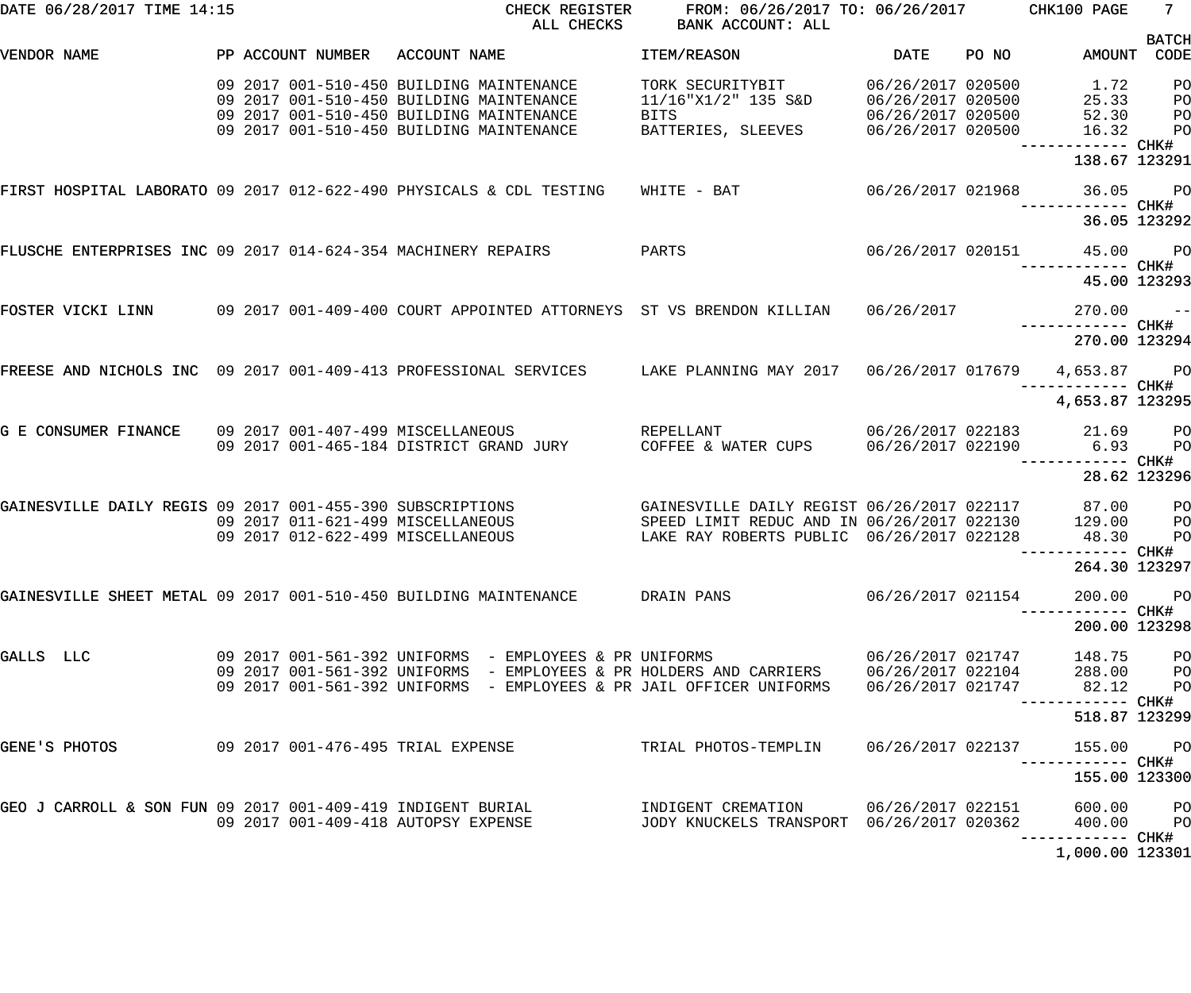| DATE 06/28/2017 TIME 14:15                                                          |  |                                     |              | CHECK REGISTER<br>ALL CHECKS                           | FROM: 06/26/2017 TO: 06/26/2017 CHK100 PAGE<br>BANK ACCOUNT: ALL                     |                   |       |                                | $7 -$                |
|-------------------------------------------------------------------------------------|--|-------------------------------------|--------------|--------------------------------------------------------|--------------------------------------------------------------------------------------|-------------------|-------|--------------------------------|----------------------|
| VENDOR NAME                                                                         |  | PP ACCOUNT NUMBER                   | ACCOUNT NAME |                                                        | ITEM/REASON                                                                          | DATE              | PO NO | AMOUNT                         | <b>BATCH</b><br>CODE |
|                                                                                     |  |                                     |              |                                                        |                                                                                      |                   |       |                                |                      |
|                                                                                     |  |                                     |              | 09 2017 001-510-450 BUILDING MAINTENANCE               | TORK SECURITYBIT                                                                     | 06/26/2017 020500 |       | 1.72                           | PO                   |
|                                                                                     |  |                                     |              | 09 2017 001-510-450 BUILDING MAINTENANCE               | 11/16"X1/2" 135 S&D                                                                  | 06/26/2017 020500 |       | 25.33                          | P <sub>O</sub>       |
|                                                                                     |  |                                     |              | 09 2017 001-510-450 BUILDING MAINTENANCE               | <b>BITS</b>                                                                          | 06/26/2017 020500 |       | 52.30                          | P <sub>O</sub>       |
|                                                                                     |  |                                     |              | 09 2017 001-510-450 BUILDING MAINTENANCE               | BATTERIES, SLEEVES                                                                   | 06/26/2017 020500 |       | 16.32                          | P <sub>O</sub>       |
|                                                                                     |  |                                     |              |                                                        |                                                                                      |                   |       | ------------ CHK#              |                      |
|                                                                                     |  |                                     |              |                                                        |                                                                                      |                   |       | 138.67 123291                  |                      |
| FIRST HOSPITAL LABORATO 09 2017 012-622-490 PHYSICALS & CDL TESTING                 |  |                                     |              |                                                        | WHITE - BAT                                                                          | 06/26/2017 021968 |       | 36.05 PO                       |                      |
|                                                                                     |  |                                     |              |                                                        |                                                                                      |                   |       |                                |                      |
|                                                                                     |  |                                     |              |                                                        |                                                                                      |                   |       |                                | 36.05 123292         |
| FLUSCHE ENTERPRISES INC 09 2017 014-624-354 MACHINERY REPAIRS                       |  |                                     |              |                                                        | PARTS                                                                                | 06/26/2017 020151 |       | 45.00 PO                       |                      |
|                                                                                     |  |                                     |              |                                                        |                                                                                      |                   |       |                                |                      |
|                                                                                     |  |                                     |              |                                                        |                                                                                      |                   |       | 45.00 123293                   |                      |
| FOSTER VICKI LINN                                                                   |  |                                     |              |                                                        | 09 2017 001-409-400 COURT APPOINTED ATTORNEYS ST VS BRENDON KILLIAN                  |                   |       |                                |                      |
|                                                                                     |  |                                     |              |                                                        |                                                                                      | 06/26/2017        |       | 270.00 --<br>------------ CHK# |                      |
|                                                                                     |  |                                     |              |                                                        |                                                                                      |                   |       | 270.00 123294                  |                      |
|                                                                                     |  |                                     |              |                                                        |                                                                                      |                   |       |                                |                      |
| FREESE AND NICHOLS INC 09 2017 001-409-413 PROFESSIONAL SERVICES                    |  |                                     |              |                                                        | LAKE PLANNING MAY 2017  06/26/2017  017679  4,653.87  PO                             |                   |       |                                |                      |
|                                                                                     |  |                                     |              |                                                        |                                                                                      |                   |       | —————————— CHK#                |                      |
|                                                                                     |  |                                     |              |                                                        |                                                                                      |                   |       | 4,653.87 123295                |                      |
| G E CONSUMER FINANCE                                                                |  | 09 2017 001-407-499 MISCELLANEOUS   |              |                                                        | REPELLANT                                                                            |                   |       | 06/26/2017 022183 21.69        | $P$ O                |
|                                                                                     |  |                                     |              | 09 2017 001-465-184 DISTRICT GRAND JURY                | COFFEE & WATER CUPS                                                                  | 06/26/2017 022190 |       | 6.93                           | P <sub>O</sub>       |
|                                                                                     |  |                                     |              |                                                        |                                                                                      |                   |       |                                | ----- CHK#           |
|                                                                                     |  |                                     |              |                                                        |                                                                                      |                   |       |                                | 28.62 123296         |
|                                                                                     |  |                                     |              |                                                        |                                                                                      |                   |       |                                |                      |
| GAINESVILLE DAILY REGIS 09 2017 001-455-390 SUBSCRIPTIONS                           |  |                                     |              |                                                        | GAINESVILLE DAILY REGIST 06/26/2017 022117                                           |                   |       | 87.00                          | P <sub>O</sub>       |
|                                                                                     |  | 09 2017 011-621-499 MISCELLANEOUS   |              |                                                        | SPEED LIMIT REDUC AND IN 06/26/2017 022130                                           |                   |       | 129.00                         | P <sub>O</sub>       |
|                                                                                     |  | 09 2017 012-622-499 MISCELLANEOUS   |              |                                                        | LAKE RAY ROBERTS PUBLIC 06/26/2017 022128                                            |                   |       | 48.30                          | PO                   |
|                                                                                     |  |                                     |              |                                                        |                                                                                      |                   |       | -------- CHK#                  |                      |
|                                                                                     |  |                                     |              |                                                        |                                                                                      |                   |       | 264.30 123297                  |                      |
| GAINESVILLE SHEET METAL 09 2017 001-510-450 BUILDING MAINTENANCE         DRAIN PANS |  |                                     |              |                                                        |                                                                                      | 06/26/2017 021154 |       | 200.00 PO                      |                      |
|                                                                                     |  |                                     |              |                                                        |                                                                                      |                   |       |                                |                      |
|                                                                                     |  |                                     |              |                                                        |                                                                                      |                   |       | 200.00 123298                  |                      |
| GALLS LLC                                                                           |  |                                     |              | 09 2017 001-561-392 UNIFORMS - EMPLOYEES & PR UNIFORMS |                                                                                      | 06/26/2017 021747 |       | 148.75                         | P <sub>O</sub>       |
|                                                                                     |  |                                     |              |                                                        | 09 2017 001-561-392 UNIFORMS - EMPLOYEES & PR HOLDERS AND CARRIERS 06/26/2017 022104 |                   |       | 288.00 PO                      |                      |
|                                                                                     |  |                                     |              |                                                        | 09 2017 001-561-392 UNIFORMS - EMPLOYEES & PR JAIL OFFICER UNIFORMS                  | 06/26/2017 021747 |       | 82.12                          | P <sub>O</sub>       |
|                                                                                     |  |                                     |              |                                                        |                                                                                      |                   |       | --------- CHK#                 |                      |
|                                                                                     |  |                                     |              |                                                        |                                                                                      |                   |       | 518.87 123299                  |                      |
|                                                                                     |  |                                     |              |                                                        |                                                                                      |                   |       |                                |                      |
| GENE'S PHOTOS                                                                       |  | 09 2017 001-476-495 TRIAL EXPENSE   |              |                                                        | TRIAL PHOTOS-TEMPLIN                                                                 | 06/26/2017 022137 |       | 155.00                         | <b>PO</b>            |
|                                                                                     |  |                                     |              |                                                        |                                                                                      |                   |       | 155.00 123300                  |                      |
|                                                                                     |  |                                     |              |                                                        |                                                                                      |                   |       |                                |                      |
| GEO J CARROLL & SON FUN 09 2017 001-409-419 INDIGENT BURIAL                         |  |                                     |              |                                                        | INDIGENT CREMATION 06/26/2017 022151                                                 |                   |       | 600.00 PO                      |                      |
|                                                                                     |  | 09 2017 001-409-418 AUTOPSY EXPENSE |              |                                                        | JODY KNUCKELS TRANSPORT 06/26/2017 020362                                            |                   |       | 400.00 PO                      |                      |
|                                                                                     |  |                                     |              |                                                        |                                                                                      |                   |       | ----------- CHK#               |                      |
|                                                                                     |  |                                     |              |                                                        |                                                                                      |                   |       | 1,000.00 123301                |                      |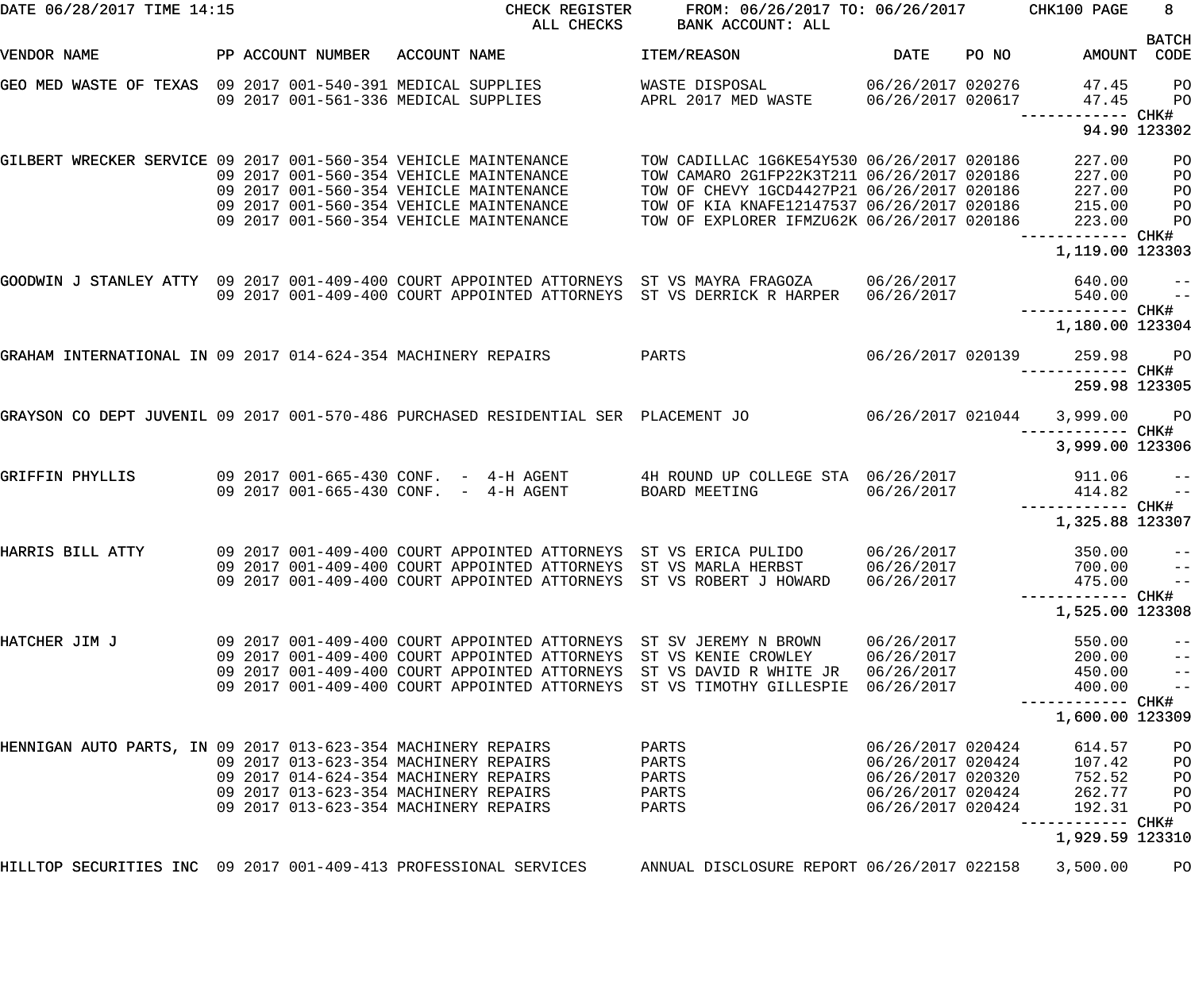| DATE 06/28/2017 TIME 14:15                                                         |  |                                                                                                                                                                  |              | CHECK REGISTER<br>ALL CHECKS                                                                                                                                             | FROM: 06/26/2017 TO: 06/26/2017 CHK100 PAGE<br>BANK ACCOUNT: ALL                                                                                                                                                                   |                                                                                                       |       |                                                | 8 <sup>1</sup>                                                       |
|------------------------------------------------------------------------------------|--|------------------------------------------------------------------------------------------------------------------------------------------------------------------|--------------|--------------------------------------------------------------------------------------------------------------------------------------------------------------------------|------------------------------------------------------------------------------------------------------------------------------------------------------------------------------------------------------------------------------------|-------------------------------------------------------------------------------------------------------|-------|------------------------------------------------|----------------------------------------------------------------------|
| VENDOR NAME                                                                        |  | PP ACCOUNT NUMBER                                                                                                                                                | ACCOUNT NAME |                                                                                                                                                                          | ITEM/REASON                                                                                                                                                                                                                        | <b>DATE</b>                                                                                           | PO NO | AMOUNT                                         | <b>BATCH</b><br>CODE                                                 |
| GEO MED WASTE OF TEXAS 09 2017 001-540-391 MEDICAL SUPPLIES                        |  | 09 2017 001-561-336 MEDICAL SUPPLIES                                                                                                                             |              |                                                                                                                                                                          | WASTE DISPOSAL<br>APRL 2017 MED WASTE                                                                                                                                                                                              | 06/26/2017 020276<br>06/26/2017 020617                                                                |       | 47.45<br>47.45<br>------ CHK#                  | PО<br>PO                                                             |
|                                                                                    |  |                                                                                                                                                                  |              |                                                                                                                                                                          |                                                                                                                                                                                                                                    |                                                                                                       |       |                                                | 94.90 123302                                                         |
| GILBERT WRECKER SERVICE 09 2017 001-560-354 VEHICLE MAINTENANCE                    |  |                                                                                                                                                                  |              | 09 2017 001-560-354 VEHICLE MAINTENANCE<br>09 2017 001-560-354 VEHICLE MAINTENANCE<br>09 2017 001-560-354 VEHICLE MAINTENANCE<br>09 2017 001-560-354 VEHICLE MAINTENANCE | TOW CADILLAC 1G6KE54Y530 06/26/2017 020186<br>TOW CAMARO 2G1FP22K3T211 06/26/2017 020186<br>TOW OF CHEVY 1GCD4427P21 06/26/2017 020186<br>TOW OF KIA KNAFE12147537 06/26/2017 020186<br>TOW OF EXPLORER IFMZU62K 06/26/2017 020186 |                                                                                                       |       | 227.00<br>227.00<br>227.00<br>215.00<br>223.00 | PO<br>PO<br>PO<br>PO<br>PO                                           |
|                                                                                    |  |                                                                                                                                                                  |              |                                                                                                                                                                          |                                                                                                                                                                                                                                    |                                                                                                       |       | 1,119.00 123303                                |                                                                      |
|                                                                                    |  |                                                                                                                                                                  |              |                                                                                                                                                                          | GOODWIN J STANLEY ATTY 09 2017 001-409-400 COURT APPOINTED ATTORNEYS ST VS MAYRA FRAGOZA<br>09 2017 001-409-400 COURT APPOINTED ATTORNEYS ST VS DERRICK R HARPER 06/26/2017                                                        | 06/26/2017                                                                                            |       | 640.00<br>540.00<br>—————————— CHK#            | $\qquad \qquad -$<br>$ -$                                            |
|                                                                                    |  |                                                                                                                                                                  |              |                                                                                                                                                                          |                                                                                                                                                                                                                                    |                                                                                                       |       | 1,180.00 123304                                |                                                                      |
| GRAHAM INTERNATIONAL IN 09 2017 014-624-354 MACHINERY REPAIRS                      |  |                                                                                                                                                                  |              |                                                                                                                                                                          | PARTS                                                                                                                                                                                                                              | 06/26/2017 020139                                                                                     |       | 259.98                                         | <b>PO</b>                                                            |
|                                                                                    |  |                                                                                                                                                                  |              |                                                                                                                                                                          |                                                                                                                                                                                                                                    |                                                                                                       |       | 259.98 123305                                  |                                                                      |
| GRAYSON CO DEPT JUVENIL 09 2017 001-570-486 PURCHASED RESIDENTIAL SER PLACEMENT JO |  |                                                                                                                                                                  |              |                                                                                                                                                                          |                                                                                                                                                                                                                                    | 06/26/2017 021044                                                                                     |       | 3,999.00<br>------------ CHK#                  | <b>PO</b>                                                            |
|                                                                                    |  |                                                                                                                                                                  |              |                                                                                                                                                                          |                                                                                                                                                                                                                                    |                                                                                                       |       | 3,999.00 123306                                |                                                                      |
| GRIFFIN PHYLLIS                                                                    |  |                                                                                                                                                                  |              | 09 2017 001-665-430 CONF. - 4-H AGENT<br>09 2017 001-665-430 CONF. - 4-H AGENT                                                                                           | 4H ROUND UP COLLEGE STA 06/26/2017<br><b>BOARD MEETING</b>                                                                                                                                                                         | 06/26/2017                                                                                            |       | 911.06<br>414.82<br>----------- CHK#           | $\qquad \qquad -$<br>$ -$                                            |
|                                                                                    |  |                                                                                                                                                                  |              |                                                                                                                                                                          |                                                                                                                                                                                                                                    |                                                                                                       |       | 1,325.88 123307                                |                                                                      |
| HARRIS BILL ATTY                                                                   |  |                                                                                                                                                                  |              |                                                                                                                                                                          | 09 2017 001-409-400 COURT APPOINTED ATTORNEYS ST VS ERICA PULIDO<br>09 2017 001-409-400 COURT APPOINTED ATTORNEYS ST VS MARLA HERBST<br>09 2017 001-409-400 COURT APPOINTED ATTORNEYS ST VS ROBERT J HOWARD                        | 06/26/2017<br>06/26/2017<br>06/26/2017                                                                |       | 350.00<br>700.00<br>475.00                     | $ -$<br>$- -$<br>$- -$                                               |
|                                                                                    |  |                                                                                                                                                                  |              |                                                                                                                                                                          |                                                                                                                                                                                                                                    |                                                                                                       |       | 1,525.00 123308                                |                                                                      |
| HATCHER JIM J                                                                      |  |                                                                                                                                                                  |              | 09 2017 001-409-400 COURT APPOINTED ATTORNEYS<br>09 2017 001-409-400 COURT APPOINTED ATTORNEYS<br>09 2017 001-409-400 COURT APPOINTED ATTORNEYS                          | 09 2017 001-409-400 COURT APPOINTED ATTORNEYS ST SV JEREMY N BROWN<br>ST VS KENIE CROWLEY<br>ST VS DAVID R WHITE JR<br>ST VS TIMOTHY GILLESPIE 06/26/2017                                                                          | 06/26/2017<br>06/26/2017<br>06/26/2017                                                                |       | 550.00<br>200.00<br>450.00<br>400.00           | $- -$<br>$\qquad \qquad -$<br>$\qquad \qquad -$<br>$\qquad \qquad -$ |
|                                                                                    |  |                                                                                                                                                                  |              |                                                                                                                                                                          |                                                                                                                                                                                                                                    |                                                                                                       |       | ----------- CHK#<br>1,600.00 123309            |                                                                      |
| HENNIGAN AUTO PARTS, IN 09 2017 013-623-354 MACHINERY REPAIRS                      |  | 09 2017 013-623-354 MACHINERY REPAIRS<br>09 2017 014-624-354 MACHINERY REPAIRS<br>09 2017 013-623-354 MACHINERY REPAIRS<br>09 2017 013-623-354 MACHINERY REPAIRS |              |                                                                                                                                                                          | PARTS<br>PARTS<br>PARTS<br>PARTS<br>PARTS                                                                                                                                                                                          | 06/26/2017 020424<br>06/26/2017 020424<br>06/26/2017 020320<br>06/26/2017 020424<br>06/26/2017 020424 |       | 614.57<br>107.42<br>752.52<br>262.77<br>192.31 | PO<br>PO<br>PO<br>PO<br>PO                                           |
|                                                                                    |  |                                                                                                                                                                  |              |                                                                                                                                                                          |                                                                                                                                                                                                                                    |                                                                                                       |       | ----------- CHK#<br>1,929.59 123310            |                                                                      |
| HILLTOP SECURITIES INC 09 2017 001-409-413 PROFESSIONAL SERVICES                   |  |                                                                                                                                                                  |              |                                                                                                                                                                          | ANNUAL DISCLOSURE REPORT 06/26/2017 022158                                                                                                                                                                                         |                                                                                                       |       | 3,500.00                                       | PO                                                                   |
|                                                                                    |  |                                                                                                                                                                  |              |                                                                                                                                                                          |                                                                                                                                                                                                                                    |                                                                                                       |       |                                                |                                                                      |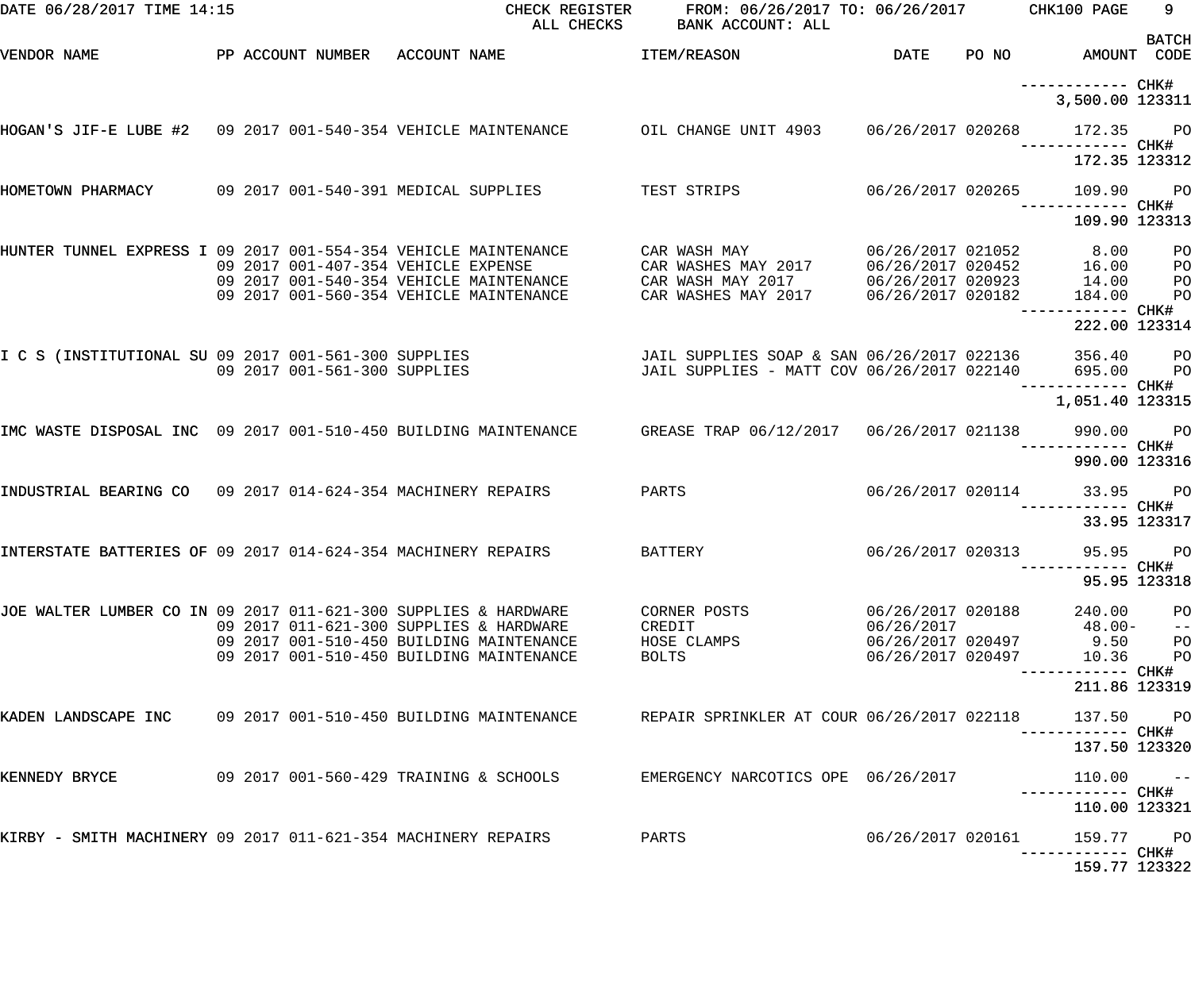| DATE 06/28/2017 TIME 14:15                                      |                                                                                      |                                                  | CHECK REGISTER FROM: 06/26/2017 TO: 06/26/2017 CHK100 PAGE<br>ALL CHECKS BANK ACCOUNT: ALL                                                     |                                 |                                              | 9                       |
|-----------------------------------------------------------------|--------------------------------------------------------------------------------------|--------------------------------------------------|------------------------------------------------------------------------------------------------------------------------------------------------|---------------------------------|----------------------------------------------|-------------------------|
| VENDOR NAME                                                     |                                                                                      | PP ACCOUNT NUMBER ACCOUNT NAME                   | <b>ITEM/REASON</b>                                                                                                                             |                                 | DATE PO NO AMOUNT CODE                       | <b>BATCH</b>            |
|                                                                 |                                                                                      |                                                  |                                                                                                                                                |                                 | 3,500.00 123311                              |                         |
|                                                                 |                                                                                      |                                                  | HOGAN'S JIF-E LUBE #2 09 2017 001-540-354 VEHICLE MAINTENANCE      OIL CHANGE UNIT 4903   06/26/2017 020268    172.35    PO                    |                                 |                                              |                         |
|                                                                 |                                                                                      |                                                  |                                                                                                                                                |                                 | 172.35 123312                                |                         |
| HOMETOWN PHARMACY                                               |                                                                                      | 09 2017 001-540-391 MEDICAL SUPPLIES TEST STRIPS |                                                                                                                                                |                                 | 06/26/2017 020265 109.90 PO<br>109.90 123313 |                         |
|                                                                 |                                                                                      |                                                  |                                                                                                                                                |                                 |                                              |                         |
| HUNTER TUNNEL EXPRESS I 09 2017 001-554-354 VEHICLE MAINTENANCE | 09 2017 001-407-354 VEHICLE EXPENSE                                                  |                                                  | CAR WASH MAY         06/26/2017 021052      8.00    PO<br>09 2017 001-540-354 VEHICLE MAINTENANCE  CAR WASH MAY 2017  06/26/2017 020923  14.00 |                                 |                                              | $P$ O                   |
|                                                                 | 09 2017 001-560-354 VEHICLE MAINTENANCE                                              |                                                  | CAR WASHES MAY 2017 06/26/2017 020182                                                                                                          |                                 | 184.00                                       | $P$ O                   |
|                                                                 |                                                                                      |                                                  |                                                                                                                                                |                                 | 222.00 123314                                |                         |
| I C S (INSTITUTIONAL SU 09 2017 001-561-300 SUPPLIES            |                                                                                      | 09 2017 001-561-300 SUPPLIES                     | JAIL SUPPLIES SOAP & SAN 06/26/2017 022136 356.40 PO<br>JAIL SUPPLIES - MATT COV 06/26/2017 022140 695.00 PO                                   |                                 |                                              |                         |
|                                                                 |                                                                                      |                                                  |                                                                                                                                                |                                 | 1,051.40 123315                              |                         |
| IMC WASTE DISPOSAL INC 09 2017 001-510-450 BUILDING MAINTENANCE |                                                                                      |                                                  | GREASE TRAP 06/12/2017  06/26/2017 021138  990.00                                                                                              |                                 |                                              | <b>PO</b>               |
|                                                                 |                                                                                      |                                                  |                                                                                                                                                |                                 | 990.00 123316                                |                         |
| INDUSTRIAL BEARING CO 09 2017 014-624-354 MACHINERY REPAIRS     |                                                                                      | PARTS                                            |                                                                                                                                                |                                 | 06/26/2017 020114 33.95 PO                   |                         |
|                                                                 |                                                                                      |                                                  |                                                                                                                                                |                                 | 33.95 123317                                 |                         |
| INTERSTATE BATTERIES OF 09 2017 014-624-354 MACHINERY REPAIRS   |                                                                                      |                                                  | BATTERY                                                                                                                                        | 06/26/2017 020313               | 95.95 PO                                     |                         |
|                                                                 |                                                                                      |                                                  |                                                                                                                                                |                                 |                                              | 95.95 123318            |
| JOE WALTER LUMBER CO IN 09 2017 011-621-300 SUPPLIES & HARDWARE | 09 2017 011-621-300 SUPPLIES & HARDWARE                                              |                                                  | CORNER POSTS<br>CREDIT                                                                                                                         | 06/26/2017 020188<br>06/26/2017 | 240.00<br>48.00-                             | PO<br>$\qquad \qquad -$ |
|                                                                 | 09 2017 001-510-450 BUILDING MAINTENANCE<br>09 2017 001-510-450 BUILDING MAINTENANCE |                                                  | HOSE CLAMPS                                                                                                                                    | 06/26/2017 020497               | 06/26/2017 020497 9.50<br>10.36              | PO                      |
|                                                                 |                                                                                      |                                                  | BOLTS                                                                                                                                          |                                 |                                              | P <sub>O</sub>          |
|                                                                 |                                                                                      |                                                  |                                                                                                                                                |                                 | 211.86 123319                                |                         |
| KADEN LANDSCAPE INC                                             | 09 2017 001-510-450 BUILDING MAINTENANCE                                             |                                                  | REPAIR SPRINKLER AT COUR 06/26/2017 022118                                                                                                     |                                 | 137.50 PO<br>----------- CHK#                |                         |
|                                                                 |                                                                                      |                                                  |                                                                                                                                                |                                 | 137.50 123320                                |                         |
| KENNEDY BRYCE                                                   | 09 2017 001-560-429 TRAINING & SCHOOLS                                               |                                                  | EMERGENCY NARCOTICS OPE 06/26/2017                                                                                                             |                                 | $110.00 -$                                   |                         |
|                                                                 |                                                                                      |                                                  |                                                                                                                                                |                                 | 110.00 123321                                |                         |
| KIRBY - SMITH MACHINERY 09 2017 011-621-354 MACHINERY REPAIRS   |                                                                                      |                                                  | PARTS                                                                                                                                          | 06/26/2017 020161               | 159.77 PO<br>----------- CHK#                |                         |
|                                                                 |                                                                                      |                                                  |                                                                                                                                                |                                 | 159.77 123322                                |                         |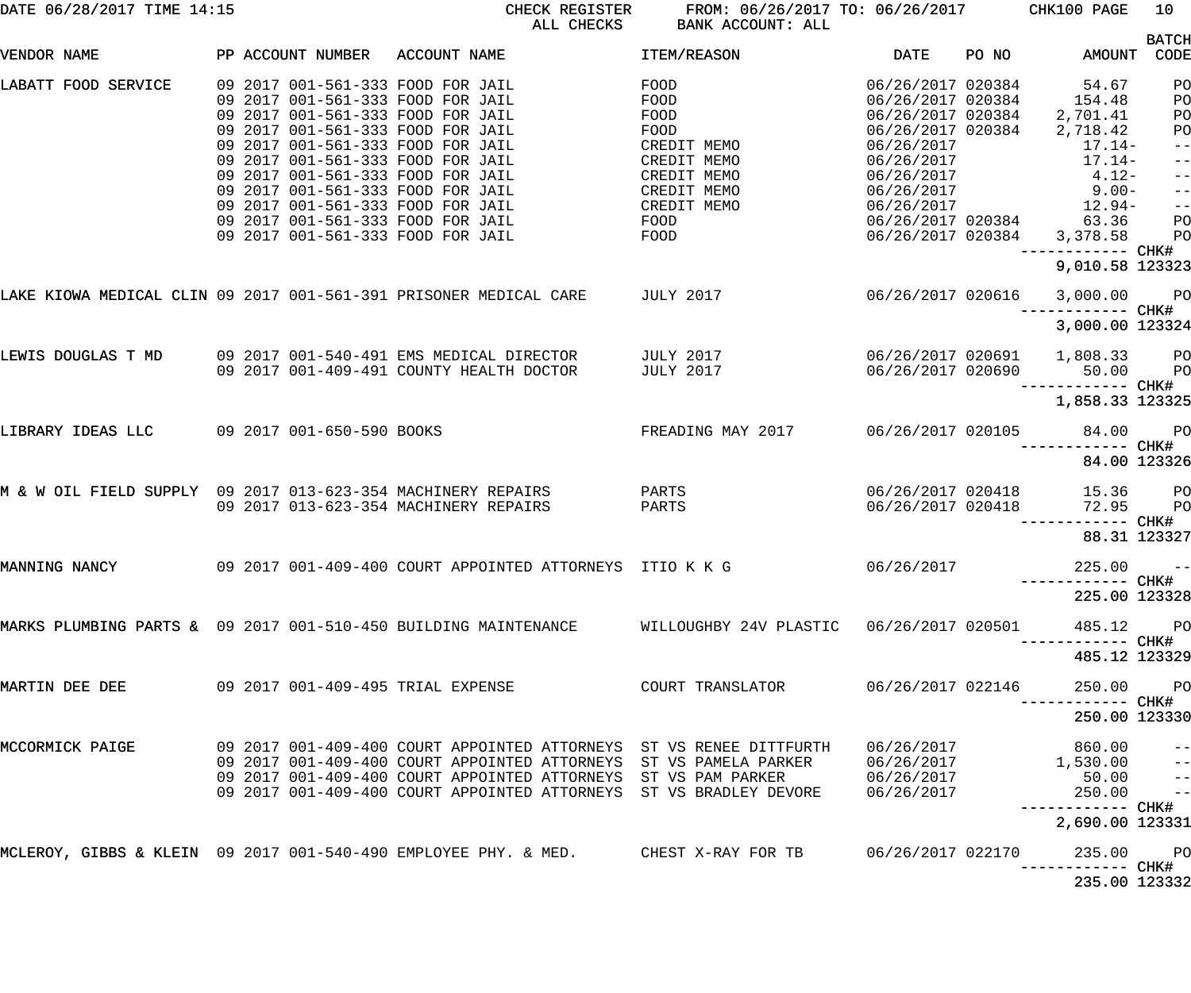| DATE 06/28/2017 TIME 14:15                                   |                           | CHECK REGISTER<br>ALL CHECKS                                                                             | FROM: 06/26/2017 TO: 06/26/2017 CHK100 PAGE<br><b>BANK ACCOUNT: ALL</b> |                   |       |                                     | 10                   |
|--------------------------------------------------------------|---------------------------|----------------------------------------------------------------------------------------------------------|-------------------------------------------------------------------------|-------------------|-------|-------------------------------------|----------------------|
| VENDOR NAME                                                  | PP ACCOUNT NUMBER         | ACCOUNT NAME                                                                                             | ITEM/REASON                                                             | <b>DATE</b>       | PO NO | AMOUNT                              | <b>BATCH</b><br>CODE |
|                                                              |                           |                                                                                                          |                                                                         |                   |       |                                     |                      |
| LABATT FOOD SERVICE                                          |                           | 09 2017 001-561-333 FOOD FOR JAIL                                                                        | FOOD                                                                    | 06/26/2017 020384 |       | 54.67                               | PO                   |
|                                                              |                           | 09 2017 001-561-333 FOOD FOR JAIL                                                                        | FOOD                                                                    | 06/26/2017 020384 |       | 154.48                              | PO                   |
|                                                              |                           | 09 2017 001-561-333 FOOD FOR JAIL                                                                        | FOOD                                                                    | 06/26/2017 020384 |       | 2,701.41                            | PO                   |
|                                                              |                           | 09 2017 001-561-333 FOOD FOR JAIL                                                                        | FOOD                                                                    | 06/26/2017 020384 |       | 2,718.42                            | PO                   |
|                                                              |                           | 09 2017 001-561-333 FOOD FOR JAIL                                                                        | CREDIT MEMO                                                             | 06/26/2017        |       | $17.14-$                            | $\qquad \qquad -$    |
|                                                              |                           | 09 2017 001-561-333 FOOD FOR JAIL                                                                        | CREDIT MEMO                                                             | 06/26/2017        |       | $17.14-$                            | $ -$                 |
|                                                              |                           | 09 2017 001-561-333 FOOD FOR JAIL                                                                        | CREDIT MEMO                                                             | 06/26/2017        |       | $4.12-$                             | $\qquad \qquad -$    |
|                                                              |                           | 09 2017 001-561-333 FOOD FOR JAIL                                                                        | CREDIT MEMO                                                             | 06/26/2017        |       | $9.00-$                             | $\qquad \qquad -$    |
|                                                              |                           | 09 2017 001-561-333 FOOD FOR JAIL                                                                        | CREDIT MEMO                                                             | 06/26/2017        |       | 12.94-                              | $\frac{1}{2}$        |
|                                                              |                           | 09 2017 001-561-333 FOOD FOR JAIL                                                                        | FOOD                                                                    | 06/26/2017 020384 |       | 63.36                               | PO                   |
|                                                              |                           | 09 2017 001-561-333 FOOD FOR JAIL                                                                        | FOOD                                                                    | 06/26/2017 020384 |       | 3,378.58                            | PO                   |
|                                                              |                           |                                                                                                          |                                                                         |                   |       | ------------ CHK#                   |                      |
|                                                              |                           |                                                                                                          |                                                                         |                   |       | 9,010.58 123323                     |                      |
|                                                              |                           | LAKE KIOWA MEDICAL CLIN 09 2017 001-561-391 PRISONER MEDICAL CARE TULY 2017                              |                                                                         | 06/26/2017 020616 |       | 3,000.00                            | <b>PO</b>            |
|                                                              |                           |                                                                                                          |                                                                         |                   |       | ------------ CHK#                   |                      |
|                                                              |                           |                                                                                                          |                                                                         |                   |       | 3,000.00 123324                     |                      |
| LEWIS DOUGLAS T MD                                           |                           | 09 2017 001-540-491 EMS MEDICAL DIRECTOR                                                                 | JULY 2017                                                               | 06/26/2017 020691 |       | 1,808.33                            | PО                   |
|                                                              |                           | 09 2017 001-409-491 COUNTY HEALTH DOCTOR                                                                 | <b>JULY 2017</b>                                                        | 06/26/2017 020690 |       | 50.00                               | P <sub>O</sub>       |
|                                                              |                           |                                                                                                          |                                                                         |                   |       | ------------ CHK#                   |                      |
|                                                              |                           |                                                                                                          |                                                                         |                   |       | 1,858.33 123325                     |                      |
| LIBRARY IDEAS LLC                                            | 09 2017 001-650-590 BOOKS |                                                                                                          | FREADING MAY 2017                                                       | 06/26/2017 020105 |       | 84.00                               | $P$ O                |
|                                                              |                           |                                                                                                          |                                                                         |                   |       |                                     |                      |
|                                                              |                           |                                                                                                          |                                                                         |                   |       | 84.00 123326                        |                      |
| M & W OIL FIELD SUPPLY 09 2017 013-623-354 MACHINERY REPAIRS |                           |                                                                                                          | PARTS                                                                   | 06/26/2017 020418 |       | 15.36                               |                      |
|                                                              |                           | 09 2017 013-623-354 MACHINERY REPAIRS                                                                    | PARTS                                                                   | 06/26/2017 020418 |       | 72.95                               | PО                   |
|                                                              |                           |                                                                                                          |                                                                         |                   |       |                                     | P <sub>O</sub>       |
|                                                              |                           |                                                                                                          |                                                                         |                   |       |                                     |                      |
|                                                              |                           |                                                                                                          |                                                                         |                   |       | 88.31 123327                        |                      |
| MANNING NANCY                                                |                           |                                                                                                          |                                                                         | 06/26/2017        |       |                                     |                      |
|                                                              |                           |                                                                                                          |                                                                         |                   |       | $225.00 - -$                        |                      |
|                                                              |                           |                                                                                                          |                                                                         |                   |       |                                     |                      |
|                                                              |                           |                                                                                                          |                                                                         |                   |       | 225.00 123328                       |                      |
|                                                              |                           |                                                                                                          |                                                                         |                   |       |                                     |                      |
|                                                              |                           | MARKS PLUMBING PARTS & 09 2017 001-510-450 BUILDING MAINTENANCE WILLOUGHBY 24V PLASTIC 06/26/2017 020501 |                                                                         |                   |       | 485.12                              | <b>PO</b>            |
|                                                              |                           |                                                                                                          |                                                                         |                   |       | -------- CHK#                       |                      |
|                                                              |                           |                                                                                                          |                                                                         |                   |       | 485.12 123329                       |                      |
|                                                              |                           |                                                                                                          |                                                                         |                   |       |                                     |                      |
| MARTIN DEE DEE                                               |                           |                                                                                                          |                                                                         | 06/26/2017 022146 |       | 250.00                              | <b>PO</b>            |
|                                                              |                           |                                                                                                          |                                                                         |                   |       |                                     |                      |
|                                                              |                           |                                                                                                          |                                                                         |                   |       | 250.00 123330                       |                      |
| MCCORMICK PAIGE                                              |                           | 09 2017 001-409-400 COURT APPOINTED ATTORNEYS ST VS RENEE DITTFURTH                                      |                                                                         | 06/26/2017        |       | 860.00                              |                      |
|                                                              |                           | 09 2017 001-409-400 COURT APPOINTED ATTORNEYS ST VS PAMELA PARKER                                        |                                                                         | 06/26/2017        |       | 1,530.00                            |                      |
|                                                              |                           | 09 2017 001-409-400 COURT APPOINTED ATTORNEYS ST VS PAM PARKER                                           |                                                                         | 06/26/2017        |       | 50.00                               |                      |
|                                                              |                           | 09 2017 001-409-400 COURT APPOINTED ATTORNEYS ST VS BRADLEY DEVORE                                       |                                                                         | 06/26/2017        |       | 250.00                              | $\frac{1}{2}$        |
|                                                              |                           |                                                                                                          |                                                                         |                   |       |                                     |                      |
|                                                              |                           |                                                                                                          |                                                                         |                   |       | ----------- CHK#<br>2,690.00 123331 |                      |
|                                                              |                           |                                                                                                          |                                                                         |                   |       |                                     |                      |
|                                                              |                           | MCLEROY, GIBBS & KLEIN 09 2017 001-540-490 EMPLOYEE PHY. & MED.          CHEST X-RAY FOR TB              |                                                                         | 06/26/2017 022170 |       | 235.00                              | <b>PO</b>            |
|                                                              |                           |                                                                                                          |                                                                         |                   |       | -––––––– CHK#                       |                      |
|                                                              |                           |                                                                                                          |                                                                         |                   |       | 235.00 123332                       |                      |
|                                                              |                           |                                                                                                          |                                                                         |                   |       |                                     |                      |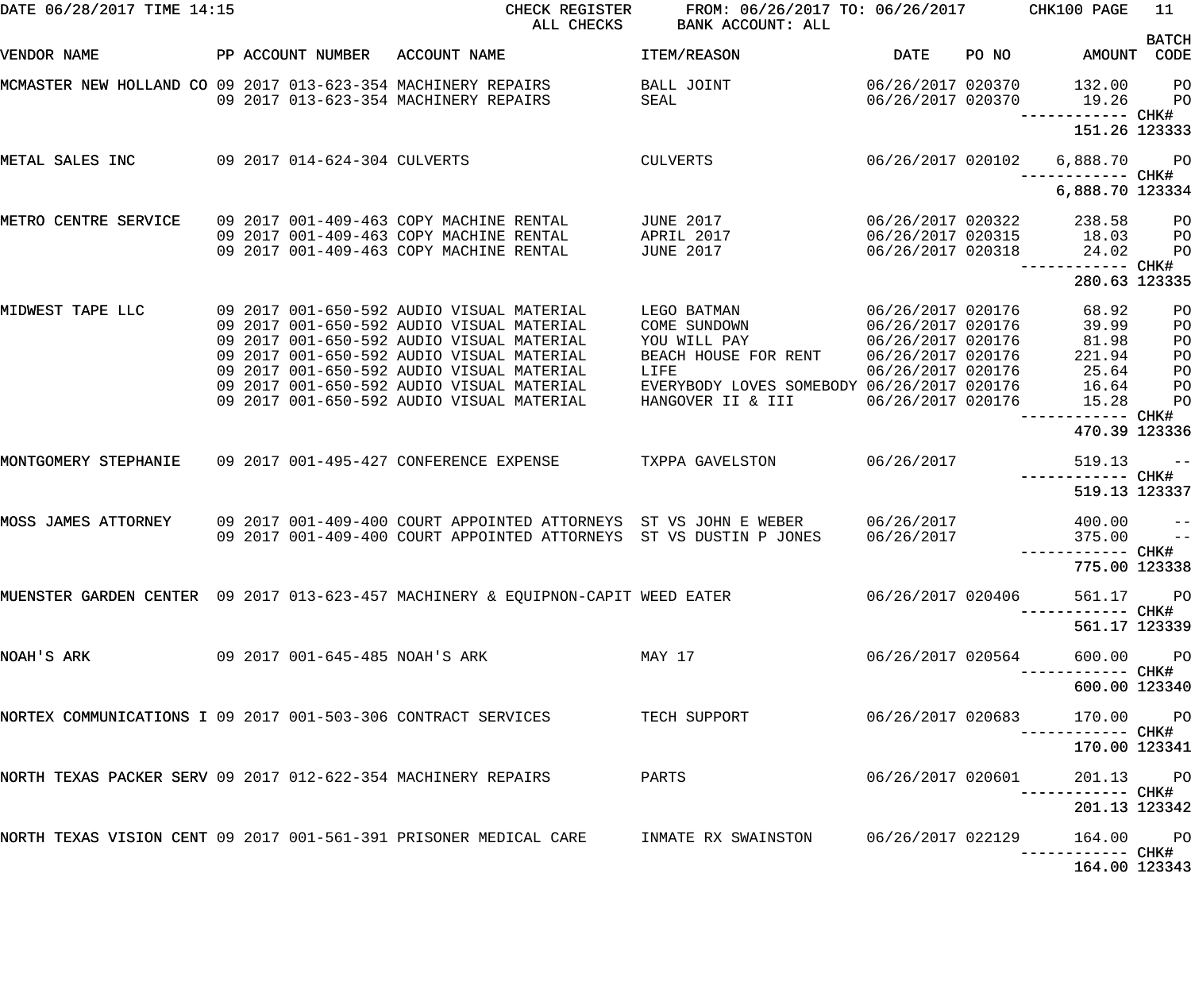| DATE 06/28/2017 TIME 14:15                                    |  |                                | CHECK REGISTER<br>ALL CHECKS                                                                                                                                                                                                                                                                                            | FROM: 06/26/2017 TO: 06/26/2017<br>BANK ACCOUNT: ALL                                                                                           |                                                                                                                            |       | CHK100 PAGE                                                  | 11                                     |
|---------------------------------------------------------------|--|--------------------------------|-------------------------------------------------------------------------------------------------------------------------------------------------------------------------------------------------------------------------------------------------------------------------------------------------------------------------|------------------------------------------------------------------------------------------------------------------------------------------------|----------------------------------------------------------------------------------------------------------------------------|-------|--------------------------------------------------------------|----------------------------------------|
| VENDOR NAME                                                   |  | PP ACCOUNT NUMBER              | ACCOUNT NAME                                                                                                                                                                                                                                                                                                            | ITEM/REASON                                                                                                                                    | <b>DATE</b>                                                                                                                | PO NO | AMOUNT                                                       | <b>BATCH</b><br>CODE                   |
| MCMASTER NEW HOLLAND CO 09 2017 013-623-354 MACHINERY REPAIRS |  |                                | 09 2017 013-623-354 MACHINERY REPAIRS                                                                                                                                                                                                                                                                                   | BALL JOINT<br>SEAL                                                                                                                             | 06/26/2017 020370<br>06/26/2017 020370                                                                                     |       | 132.00<br>19.26                                              | PO<br>PO                               |
|                                                               |  |                                |                                                                                                                                                                                                                                                                                                                         |                                                                                                                                                |                                                                                                                            |       | ------------ CHK#<br>151.26 123333                           |                                        |
| METAL SALES INC                                               |  | 09 2017 014-624-304 CULVERTS   |                                                                                                                                                                                                                                                                                                                         | <b>CULVERTS</b>                                                                                                                                | 06/26/2017 020102                                                                                                          |       | 6,888.70<br>------------ CHK#                                | <b>PO</b>                              |
|                                                               |  |                                |                                                                                                                                                                                                                                                                                                                         |                                                                                                                                                |                                                                                                                            |       | 6,888.70 123334                                              |                                        |
| METRO CENTRE SERVICE                                          |  |                                | 09 2017 001-409-463 COPY MACHINE RENTAL<br>09 2017 001-409-463 COPY MACHINE RENTAL<br>09 2017 001-409-463 COPY MACHINE RENTAL                                                                                                                                                                                           | <b>JUNE 2017</b><br>APRIL 2017<br><b>JUNE 2017</b>                                                                                             | 06/26/2017 020322<br>06/26/2017 020315<br>06/26/2017 020318                                                                |       | 238.58<br>18.03<br>24.02                                     | PO<br>PO<br>PO                         |
|                                                               |  |                                |                                                                                                                                                                                                                                                                                                                         |                                                                                                                                                |                                                                                                                            |       | ------------ CHK#<br>280.63 123335                           |                                        |
| MIDWEST TAPE LLC                                              |  |                                | 09 2017 001-650-592 AUDIO VISUAL MATERIAL<br>09 2017 001-650-592 AUDIO VISUAL MATERIAL<br>09 2017 001-650-592 AUDIO VISUAL MATERIAL<br>09 2017 001-650-592 AUDIO VISUAL MATERIAL<br>09 2017 001-650-592 AUDIO VISUAL MATERIAL<br>09 2017 001-650-592 AUDIO VISUAL MATERIAL<br>09 2017 001-650-592 AUDIO VISUAL MATERIAL | LEGO BATMAN<br>COME SUNDOWN<br>YOU WILL PAY<br>BEACH HOUSE FOR RENT<br>LIFE<br>EVERYBODY LOVES SOMEBODY 06/26/2017 020176<br>HANGOVER II & III | 06/26/2017 020176<br>06/26/2017 020176<br>06/26/2017 020176<br>06/26/2017 020176<br>06/26/2017 020176<br>06/26/2017 020176 |       | 68.92<br>39.99<br>81.98<br>221.94<br>25.64<br>16.64<br>15.28 | PO<br>PO<br>PO<br>PO<br>PO<br>PO<br>PO |
|                                                               |  |                                |                                                                                                                                                                                                                                                                                                                         |                                                                                                                                                |                                                                                                                            |       | ------------ CHK#<br>470.39 123336                           |                                        |
| MONTGOMERY STEPHANIE                                          |  |                                | 09 2017 001-495-427 CONFERENCE EXPENSE                                                                                                                                                                                                                                                                                  | TXPPA GAVELSTON                                                                                                                                | 06/26/2017                                                                                                                 |       | 519.13<br>------------ CHK#                                  | $- -$                                  |
| MOSS JAMES ATTORNEY                                           |  |                                | 09 2017 001-409-400 COURT APPOINTED ATTORNEYS ST VS JOHN E WEBER<br>09 2017 001-409-400 COURT APPOINTED ATTORNEYS ST VS DUSTIN P JONES                                                                                                                                                                                  |                                                                                                                                                | 06/26/2017<br>06/26/2017                                                                                                   |       | 519.13 123337<br>400.00<br>375.00                            | $- -$<br>$ -$                          |
|                                                               |  |                                |                                                                                                                                                                                                                                                                                                                         |                                                                                                                                                |                                                                                                                            |       | 775.00 123338                                                |                                        |
|                                                               |  |                                | MUENSTER GARDEN CENTER 09 2017 013-623-457 MACHINERY & EQUIPNON-CAPIT WEED EATER                                                                                                                                                                                                                                        |                                                                                                                                                | 06/26/2017 020406                                                                                                          |       | 561.17 PO                                                    |                                        |
|                                                               |  |                                |                                                                                                                                                                                                                                                                                                                         |                                                                                                                                                |                                                                                                                            |       | -----------         CHK#<br>561.17 123339                    |                                        |
| NOAH'S ARK                                                    |  | 09 2017 001-645-485 NOAH'S ARK |                                                                                                                                                                                                                                                                                                                         | MAY 17                                                                                                                                         | 06/26/2017 020564                                                                                                          |       | 600.00 PO                                                    |                                        |
|                                                               |  |                                |                                                                                                                                                                                                                                                                                                                         |                                                                                                                                                |                                                                                                                            |       | 600.00 123340                                                |                                        |
|                                                               |  |                                | NORTEX COMMUNICATIONS I 09 2017 001-503-306 CONTRACT SERVICES TECH SUPPORT                                                                                                                                                                                                                                              |                                                                                                                                                | 06/26/2017 020683                                                                                                          |       | 170.00 PO                                                    |                                        |
|                                                               |  |                                |                                                                                                                                                                                                                                                                                                                         |                                                                                                                                                |                                                                                                                            |       | 170.00 123341                                                |                                        |
| NORTH TEXAS PACKER SERV 09 2017 012-622-354 MACHINERY REPAIRS |  |                                |                                                                                                                                                                                                                                                                                                                         | PARTS                                                                                                                                          | 06/26/2017 020601                                                                                                          |       | 201.13 PO                                                    |                                        |
|                                                               |  |                                |                                                                                                                                                                                                                                                                                                                         |                                                                                                                                                |                                                                                                                            |       | 201.13 123342                                                |                                        |
|                                                               |  |                                | NORTH TEXAS VISION CENT 09 2017 001-561-391 PRISONER MEDICAL CARE      INMATE RX SWAINSTON      06/26/2017 022129                                                                                                                                                                                                       |                                                                                                                                                |                                                                                                                            |       | 164.00 PO<br>----------- CHK#                                |                                        |
|                                                               |  |                                |                                                                                                                                                                                                                                                                                                                         |                                                                                                                                                |                                                                                                                            |       | 164.00 123343                                                |                                        |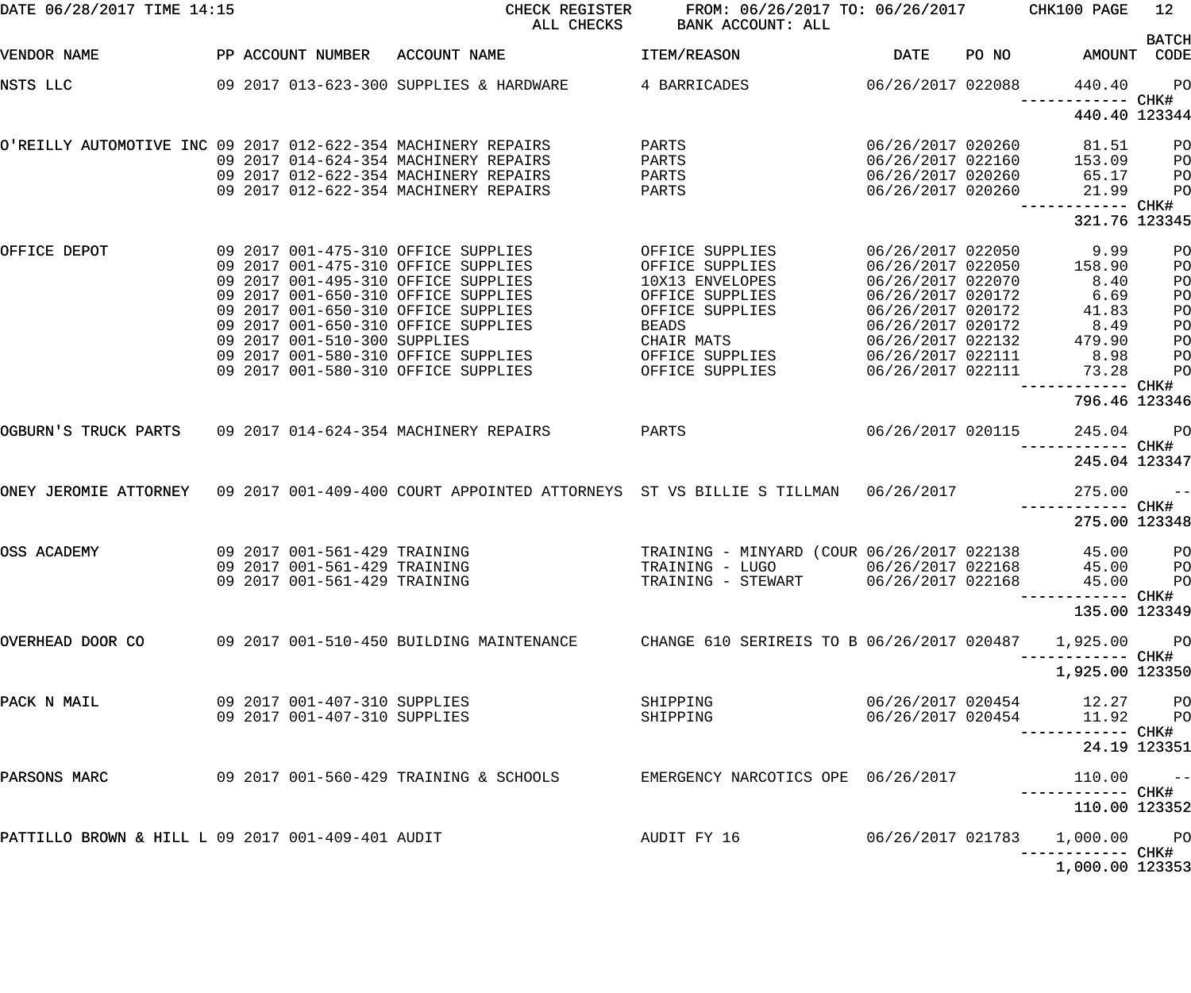| DATE 06/28/2017 TIME 14:15                                    |  |                                                              | CHECK REGISTER<br>ALL CHECKS                                                                                                                             | FROM: 06/26/2017 TO: 06/26/2017 CHK100 PAGE<br>BANK ACCOUNT: ALL         |                                                                                  |                                 | 12                         |
|---------------------------------------------------------------|--|--------------------------------------------------------------|----------------------------------------------------------------------------------------------------------------------------------------------------------|--------------------------------------------------------------------------|----------------------------------------------------------------------------------|---------------------------------|----------------------------|
| VENDOR NAME                                                   |  |                                                              | PP ACCOUNT NUMBER ACCOUNT NAME                                                                                                                           | ITEM/REASON                                                              | DATE                                                                             | PO NO AMOUNT                    | <b>BATCH</b><br>CODE       |
| NSTS LLC                                                      |  |                                                              | 09 2017 013-623-300 SUPPLIES & HARDWARE                                                                                                                  | 06/26/2017 022088<br>4 BARRICADES                                        |                                                                                  | 440.40<br>------------ CHK#     | $P$ O                      |
|                                                               |  |                                                              |                                                                                                                                                          |                                                                          |                                                                                  | 440.40 123344                   |                            |
| O'REILLY AUTOMOTIVE INC 09 2017 012-622-354 MACHINERY REPAIRS |  |                                                              | 09 2017 014-624-354 MACHINERY REPAIRS<br>09 2017 012-622-354 MACHINERY REPAIRS                                                                           | PARTS<br>PARTS<br>PARTS                                                  | 06/26/2017 020260<br>06/26/2017 022160<br>06/26/2017 020260                      | 81.51<br>153.09<br>65.17        | P <sub>O</sub><br>PO<br>PO |
|                                                               |  |                                                              | 09 2017 012-622-354 MACHINERY REPAIRS                                                                                                                    | PARTS                                                                    | 06/26/2017 020260                                                                | 21.99<br>----------- CHK#       | PO                         |
|                                                               |  |                                                              |                                                                                                                                                          |                                                                          |                                                                                  | 321.76 123345                   |                            |
| OFFICE DEPOT                                                  |  |                                                              | 09 2017 001-475-310 OFFICE SUPPLIES<br>09 2017 001-475-310 OFFICE SUPPLIES<br>09 2017 001-495-310 OFFICE SUPPLIES<br>09 2017 001-650-310 OFFICE SUPPLIES | OFFICE SUPPLIES<br>OFFICE SUPPLIES<br>10X13 ENVELOPES<br>OFFICE SUPPLIES | 06/26/2017 022050<br>06/26/2017 022050<br>06/26/2017 022070<br>06/26/2017 020172 | 9.99<br>158.90<br>8.40<br>6.69  | PO<br>PO<br>PO<br>PO       |
|                                                               |  | 09 2017 001-510-300 SUPPLIES                                 | 09 2017 001-650-310 OFFICE SUPPLIES<br>09 2017 001-650-310 OFFICE SUPPLIES<br>09 2017 001-580-310 OFFICE SUPPLIES                                        | OFFICE SUPPLIES<br><b>BEADS</b><br>CHAIR MATS<br>OFFICE SUPPLIES         | 06/26/2017 020172<br>06/26/2017 020172<br>06/26/2017 022132<br>06/26/2017 022111 | 41.83<br>8.49<br>479.90<br>8.98 | PO<br>PO<br>PO<br>PO       |
|                                                               |  |                                                              | 09 2017 001-580-310 OFFICE SUPPLIES                                                                                                                      | OFFICE SUPPLIES                                                          | 06/26/2017 022111                                                                | 73.28<br>------------ CHK#      | PO                         |
|                                                               |  |                                                              |                                                                                                                                                          |                                                                          |                                                                                  | 796.46 123346                   |                            |
| OGBURN'S TRUCK PARTS 09 2017 014-624-354 MACHINERY REPAIRS    |  |                                                              | PARTS                                                                                                                                                    |                                                                          | 06/26/2017 020115                                                                | 245.04<br>------------ CHK#     | $P$ O                      |
|                                                               |  |                                                              |                                                                                                                                                          |                                                                          |                                                                                  | 245.04 123347                   |                            |
|                                                               |  |                                                              | ONEY JEROMIE ATTORNEY 09 2017 001-409-400 COURT APPOINTED ATTORNEYS ST VS BILLIE S TILLMAN 06/26/2017                                                    |                                                                          |                                                                                  | 275.00<br>------------ CHK#     | $ -$                       |
|                                                               |  |                                                              |                                                                                                                                                          |                                                                          |                                                                                  | 275.00 123348                   |                            |
| OSS ACADEMY                                                   |  | 09 2017 001-561-429 TRAINING<br>09 2017 001-561-429 TRAINING | 09 2017 001-561-429 TRAINING                                                                                                                             | TRAINING - MINYARD (COUR 06/26/2017 022138<br>TRAINING - STEWART         | 06/26/2017 022168                                                                | 45.00<br>45.00 PO               | $P$ O                      |
|                                                               |  |                                                              |                                                                                                                                                          |                                                                          |                                                                                  | 135.00 123349                   |                            |
| OVERHEAD DOOR CO                                              |  |                                                              | 09 2017 001-510-450 BUILDING MAINTENANCE                                                                                                                 | CHANGE 610 SERIREIS TO B 06/26/2017 020487                               |                                                                                  | 1,925.00                        | <b>PO</b>                  |
|                                                               |  |                                                              |                                                                                                                                                          |                                                                          |                                                                                  | 1,925.00 123350                 |                            |
| PACK N MAIL                                                   |  | 09 2017 001-407-310 SUPPLIES<br>09 2017 001-407-310 SUPPLIES |                                                                                                                                                          | SHIPPING<br>SHIPPING                                                     | 06/26/2017 020454<br>06/26/2017 020454                                           | 12.27 PO<br>11.92 PO            |                            |
|                                                               |  |                                                              |                                                                                                                                                          |                                                                          |                                                                                  | 24.19 123351                    |                            |
| PARSONS MARC                                                  |  |                                                              | 09 2017 001-560-429 TRAINING & SCHOOLS                                                                                                                   | EMERGENCY NARCOTICS OPE 06/26/2017                                       |                                                                                  | 110.00                          | $\sim$ $-$                 |
|                                                               |  |                                                              |                                                                                                                                                          |                                                                          |                                                                                  | 110.00 123352                   |                            |
| PATTILLO BROWN & HILL L 09 2017 001-409-401 AUDIT             |  |                                                              |                                                                                                                                                          | AUDIT FY 16                                                              | 06/26/2017 021783                                                                | 1,000.00 PO                     |                            |
|                                                               |  |                                                              |                                                                                                                                                          |                                                                          |                                                                                  | 1,000.00 123353                 |                            |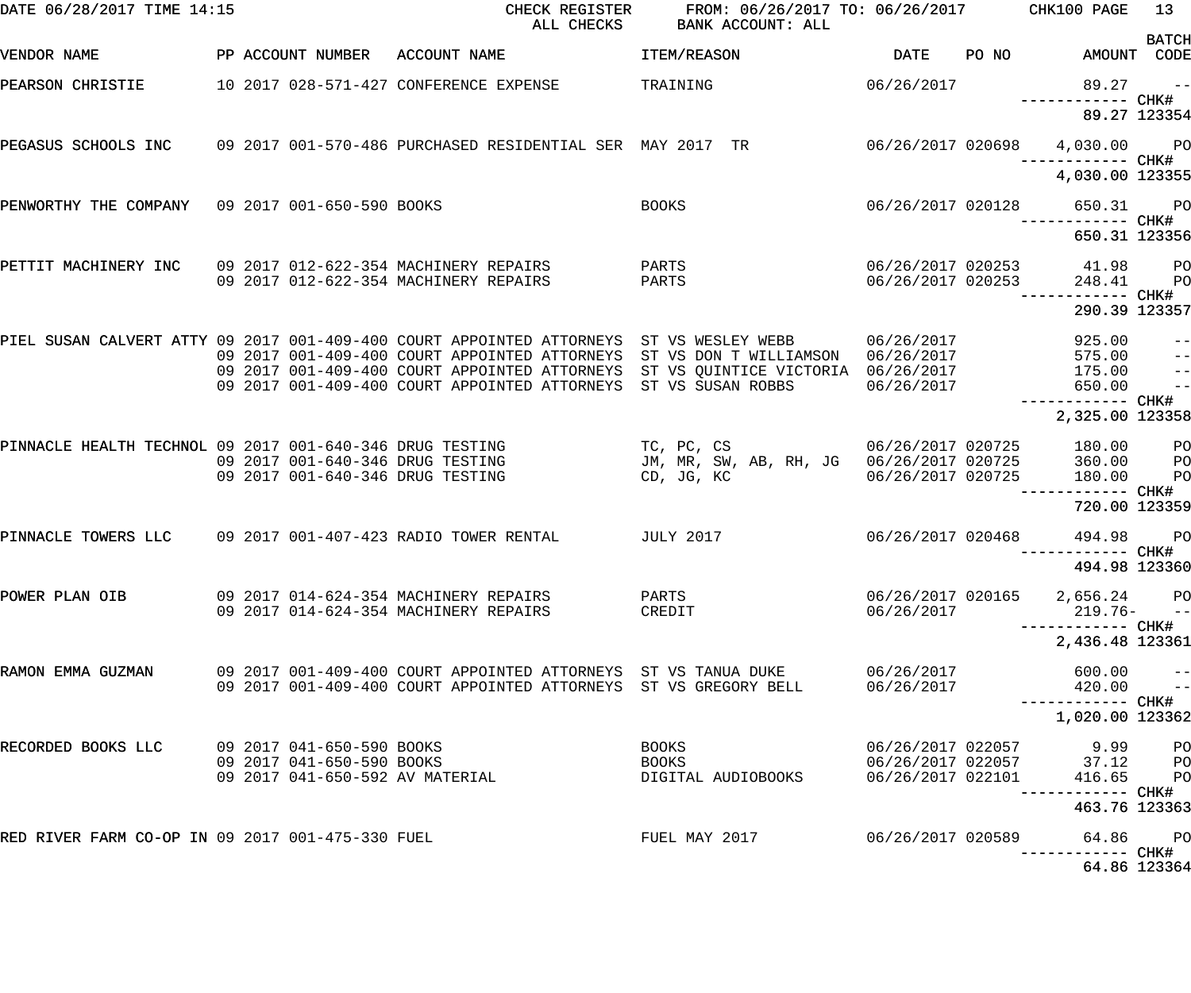| DATE 06/28/2017 TIME 14:15                               |  |                                                        | CHECK REGISTER<br>ALL CHECKS                                                                   | FROM: 06/26/2017 TO: 06/26/2017 CHK100 PAGE<br>BANK ACCOUNT: ALL        |                                                             |       |                                             | 13                               |
|----------------------------------------------------------|--|--------------------------------------------------------|------------------------------------------------------------------------------------------------|-------------------------------------------------------------------------|-------------------------------------------------------------|-------|---------------------------------------------|----------------------------------|
| VENDOR NAME                                              |  | PP ACCOUNT NUMBER                                      | ACCOUNT NAME                                                                                   | ITEM/REASON                                                             | <b>DATE</b>                                                 | PO NO | AMOUNT CODE                                 | <b>BATCH</b>                     |
| PEARSON CHRISTIE                                         |  |                                                        | 10 2017 028-571-427 CONFERENCE EXPENSE                                                         | TRAINING                                                                | 06/26/2017                                                  |       | 89.27                                       | $\sim$ $ -$                      |
|                                                          |  |                                                        |                                                                                                |                                                                         |                                                             |       | 89.27 123354                                |                                  |
|                                                          |  |                                                        | PEGASUS SCHOOLS INC    09 2017 001-570-486 PURCHASED RESIDENTIAL SER  MAY 2017  TR             |                                                                         | 06/26/2017 020698                                           |       | 4,030.00 PO                                 |                                  |
|                                                          |  |                                                        |                                                                                                |                                                                         |                                                             |       | 4,030.00 123355                             |                                  |
| PENWORTHY THE COMPANY 09 2017 001-650-590 BOOKS          |  |                                                        |                                                                                                | <b>BOOKS</b>                                                            | 06/26/2017 020128                                           |       | 650.31 PO                                   |                                  |
|                                                          |  |                                                        |                                                                                                |                                                                         |                                                             |       | 650.31 123356                               |                                  |
| PETTIT MACHINERY INC                                     |  |                                                        | 09 2017 012-622-354 MACHINERY REPAIRS<br>09 2017 012-622-354 MACHINERY REPAIRS                 | PARTS<br>PARTS                                                          | 06/26/2017 020253<br>06/26/2017 020253                      |       | 41.98<br>248.41                             | P <sub>O</sub><br>P <sub>O</sub> |
|                                                          |  |                                                        |                                                                                                |                                                                         |                                                             |       | 290.39 123357                               |                                  |
|                                                          |  |                                                        | PIEL SUSAN CALVERT ATTY 09 2017 001-409-400 COURT APPOINTED ATTORNEYS                          | ST VS WESLEY WEBB                                                       | 06/26/2017                                                  |       | 925.00                                      | $ -$                             |
|                                                          |  |                                                        | 09 2017 001-409-400 COURT APPOINTED ATTORNEYS<br>09 2017 001-409-400 COURT APPOINTED ATTORNEYS | ST VS DON T WILLIAMSON 06/26/2017<br>ST VS QUINTICE VICTORIA 06/26/2017 |                                                             |       | 575.00<br>175.00                            | $ -$<br>$\qquad \qquad -$        |
|                                                          |  |                                                        | 09 2017 001-409-400 COURT APPOINTED ATTORNEYS                                                  | ST VS SUSAN ROBBS                                                       | 06/26/2017                                                  |       | 650.00                                      | $-$                              |
|                                                          |  |                                                        |                                                                                                |                                                                         |                                                             |       | 2,325.00 123358                             |                                  |
| PINNACLE HEALTH TECHNOL 09 2017 001-640-346 DRUG TESTING |  |                                                        | 09 2017 001-640-346 DRUG TESTING                                                               | TC, PC, CS<br>JM, MR, SW, AB, RH, JG 06/26/2017 020725                  | 06/26/2017 020725                                           |       | 180.00<br>360.00                            | PО<br>PО                         |
|                                                          |  |                                                        | 09 2017 001-640-346 DRUG TESTING                                                               | CD, JG, KC                                                              | 06/26/2017 020725                                           |       | 180.00                                      | PO                               |
|                                                          |  |                                                        |                                                                                                |                                                                         |                                                             |       | ------- CHK#<br>720.00 123359               |                                  |
| PINNACLE TOWERS LLC                                      |  |                                                        | 09 2017 001-407-423 RADIO TOWER RENTAL                                                         | JULY 2017                                                               | 06/26/2017 020468                                           |       | 494.98                                      | <b>PO</b>                        |
|                                                          |  |                                                        |                                                                                                |                                                                         |                                                             |       | ----------- CHK#<br>494.98 123360           |                                  |
| POWER PLAN OIB                                           |  |                                                        | 09 2017 014-624-354 MACHINERY REPAIRS<br>09 2017 014-624-354 MACHINERY REPAIRS                 | PARTS<br>CREDIT                                                         | 06/26/2017                                                  |       | 06/26/2017 020165 2,656.24 PO<br>219.76- -- |                                  |
|                                                          |  |                                                        |                                                                                                |                                                                         |                                                             |       | 2,436.48 123361                             |                                  |
| RAMON EMMA GUZMAN                                        |  |                                                        | 09 2017 001-409-400 COURT APPOINTED ATTORNEYS ST VS TANUA DUKE                                 |                                                                         | 06/26/2017                                                  |       | 600.00                                      | $\pm$ $\pm$                      |
|                                                          |  |                                                        | 09 2017 001-409-400 COURT APPOINTED ATTORNEYS ST VS GREGORY BELL                               |                                                                         | 06/26/2017                                                  |       | 420.00<br>------------ CHK#                 | $\overline{a}$                   |
|                                                          |  |                                                        |                                                                                                |                                                                         |                                                             |       | 1,020.00 123362                             |                                  |
| RECORDED BOOKS LLC                                       |  | 09 2017 041-650-590 BOOKS<br>09 2017 041-650-590 BOOKS |                                                                                                | <b>BOOKS</b><br>BOOKS                                                   | 06/26/2017 022057                                           |       | 9.99 PO<br>37.12                            | <b>PO</b>                        |
|                                                          |  |                                                        | 09 2017 041-650-592 AV MATERIAL                                                                | DIGITAL AUDIOBOOKS                                                      | 06/26/2017 022057<br>06/26/2017 022101<br>06/26/2017 022101 |       | 416.65                                      | <b>PO</b>                        |
|                                                          |  |                                                        |                                                                                                |                                                                         |                                                             |       | --------- CHK#<br>463.76 123363             |                                  |
| RED RIVER FARM CO-OP IN 09 2017 001-475-330 FUEL         |  |                                                        |                                                                                                | FUEL MAY 2017                                                           | 06/26/2017 020589                                           |       | 64.86 PO<br>-------- CHK#                   |                                  |
|                                                          |  |                                                        |                                                                                                |                                                                         |                                                             |       | 64.86 123364                                |                                  |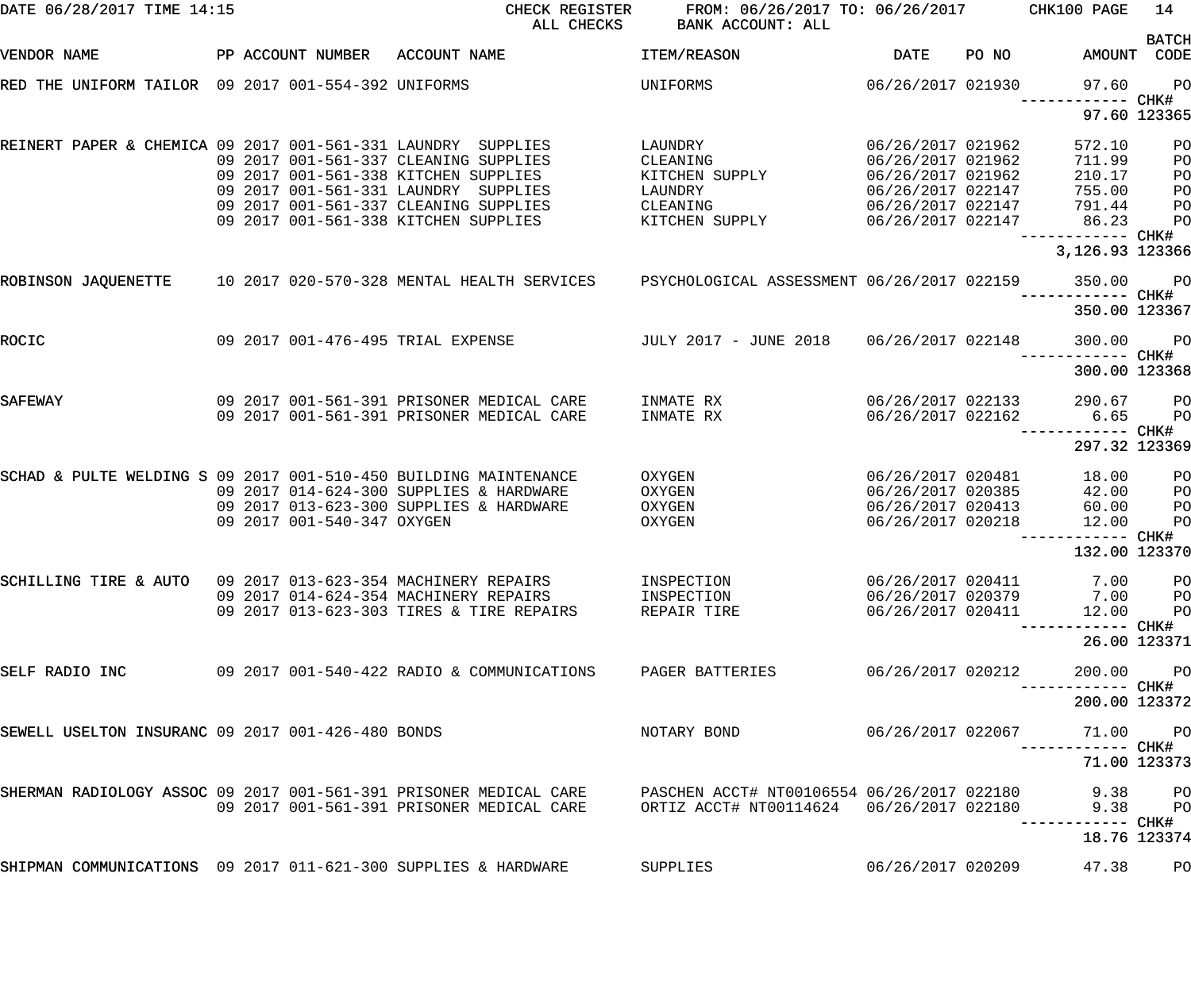| DATE 06/28/2017 TIME 14:15                                       |  |                            | CHECK REGISTER<br>ALL CHECKS                                                                                                                                  | FROM: 06/26/2017 TO: 06/26/2017<br>BANK ACCOUNT: ALL |                                                                                  |       | CHK100 PAGE                                                 | 14                         |
|------------------------------------------------------------------|--|----------------------------|---------------------------------------------------------------------------------------------------------------------------------------------------------------|------------------------------------------------------|----------------------------------------------------------------------------------|-------|-------------------------------------------------------------|----------------------------|
| VENDOR NAME                                                      |  |                            | PP ACCOUNT NUMBER ACCOUNT NAME                                                                                                                                | ITEM/REASON                                          | <b>DATE</b>                                                                      | PO NO | AMOUNT CODE                                                 | <b>BATCH</b>               |
| RED THE UNIFORM TAILOR 09 2017 001-554-392 UNIFORMS              |  |                            |                                                                                                                                                               | UNIFORMS                                             | 06/26/2017 021930                                                                |       | 97.60                                                       | PO                         |
|                                                                  |  |                            |                                                                                                                                                               |                                                      |                                                                                  |       | ------ CHK#<br>97.60 123365                                 |                            |
| REINERT PAPER & CHEMICA 09 2017 001-561-331 LAUNDRY SUPPLIES     |  |                            | 09 2017 001-561-337 CLEANING SUPPLIES<br>09 2017 001-561-338 KITCHEN SUPPLIES<br>09 2017 001-561-331 LAUNDRY SUPPLIES                                         | LAUNDRY<br>CLEANING<br>KITCHEN SUPPLY                | 06/26/2017 021962<br>06/26/2017 021962<br>06/26/2017 021962<br>06/26/2017 022147 |       | 572.10<br>711.99<br>210.17                                  | PO<br>PO<br>PO             |
|                                                                  |  |                            | 09 2017 001-561-337 CLEANING SUPPLIES<br>09 2017 001-561-338 KITCHEN SUPPLIES                                                                                 | LAUNDRY<br>CLEANING<br>KITCHEN SUPPLY                | 06/26/2017 022147<br>06/26/2017 022147                                           |       | 755.00<br>791.44<br>86.23<br>------------ CHK#              | PO<br>PO<br>PO             |
|                                                                  |  |                            |                                                                                                                                                               |                                                      |                                                                                  |       | 3,126.93 123366                                             |                            |
| ROBINSON JAQUENETTE                                              |  |                            | 10 2017 020-570-328 MENTAL HEALTH SERVICES FSYCHOLOGICAL ASSESSMENT 06/26/2017 022159                                                                         |                                                      |                                                                                  |       | 350.00                                                      | PO                         |
| ROCIC                                                            |  |                            | 09 2017 001-476-495 TRIAL EXPENSE                                                                                                                             | JULY 2017 - JUNE 2018                                | 06/26/2017 022148                                                                |       | 350.00 123367<br>300.00                                     | PO                         |
|                                                                  |  |                            |                                                                                                                                                               |                                                      |                                                                                  |       | ----------- CHK#<br>300.00 123368                           |                            |
| SAFEWAY                                                          |  |                            | 09 2017 001-561-391 PRISONER MEDICAL CARE<br>09 2017 001-561-391 PRISONER MEDICAL CARE                                                                        | INMATE RX<br>INMATE RX                               | 06/26/2017 022133<br>06/26/2017 022162                                           |       | 290.67<br>6.65                                              | PO<br>PO                   |
|                                                                  |  |                            |                                                                                                                                                               |                                                      |                                                                                  |       | 297.32 123369                                               |                            |
| SCHAD & PULTE WELDING S 09 2017 001-510-450 BUILDING MAINTENANCE |  | 09 2017 001-540-347 OXYGEN | 09 2017 014-624-300 SUPPLIES & HARDWARE<br>09 2017 013-623-300 SUPPLIES & HARDWARE                                                                            | OXYGEN<br>OXYGEN<br>OXYGEN<br>OXYGEN                 | 06/26/2017 020481<br>06/26/2017 020385<br>06/26/2017 020413<br>06/26/2017 020218 |       | 18.00<br>42.00<br>60.00<br>12.00                            | PO<br>PO<br>PO<br>PO       |
|                                                                  |  |                            |                                                                                                                                                               |                                                      |                                                                                  |       | ----------- CHK#<br>132.00 123370                           |                            |
| SCHILLING TIRE & AUTO 09 2017 013-623-354 MACHINERY REPAIRS      |  |                            | 09 2017 014-624-354 MACHINERY REPAIRS<br>09 2017 013-623-303 TIRES & TIRE REPAIRS                                                                             | INSPECTION<br>INSPECTION<br>REPAIR TIRE              | 06/26/2017 020411<br>06/26/2017 020411                                           |       | 7.00<br>06/26/2017 020379 7.00<br>12.00<br>----------- CHK# | P <sub>O</sub><br>PO<br>PO |
|                                                                  |  |                            |                                                                                                                                                               |                                                      |                                                                                  |       | 26.00 123371                                                |                            |
| SELF RADIO INC                                                   |  |                            | 09 2017 001-540-422 RADIO & COMMUNICATIONS                                                                                                                    | PAGER BATTERIES                                      | 06/26/2017 020212                                                                |       | 200.00<br>----------- CHK#                                  | PO                         |
|                                                                  |  |                            |                                                                                                                                                               |                                                      |                                                                                  |       | 200.00 123372                                               |                            |
| SEWELL USELTON INSURANC 09 2017 001-426-480 BONDS                |  |                            |                                                                                                                                                               | NOTARY BOND                                          | 06/26/2017 022067                                                                |       | 71.00 PO<br>----------- CHK#                                |                            |
|                                                                  |  |                            |                                                                                                                                                               |                                                      |                                                                                  |       | 71.00 123373                                                |                            |
|                                                                  |  |                            | SHERMAN RADIOLOGY ASSOC 09 2017 001-561-391 PRISONER MEDICAL CARE     PASCHEN ACCT# NT00106554 06/26/2017 022180<br>09 2017 001-561-391 PRISONER MEDICAL CARE | ORTIZ ACCT# NT00114624  06/26/2017 022180            |                                                                                  |       | 9.38<br>9.38<br>----------- CHK#                            | PO<br><b>PO</b>            |
|                                                                  |  |                            |                                                                                                                                                               |                                                      |                                                                                  |       | 18.76 123374                                                |                            |
| SHIPMAN COMMUNICATIONS 09 2017 011-621-300 SUPPLIES & HARDWARE   |  |                            |                                                                                                                                                               | SUPPLIES                                             | 06/26/2017 020209                                                                |       | 47.38                                                       | PO                         |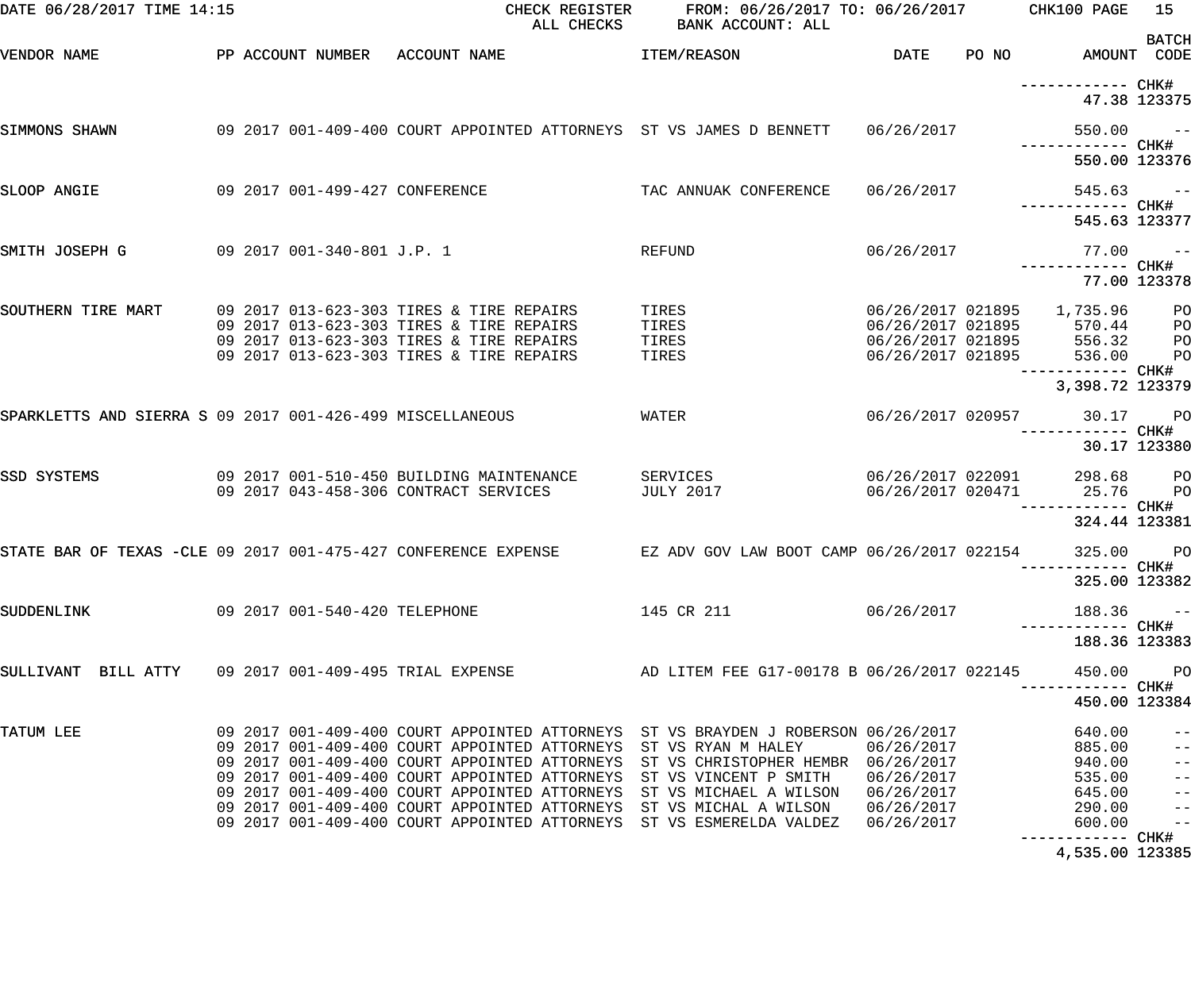| DATE 06/28/2017 TIME 14:15                                |  |                                | ALL CHECKS                                                                                                                                                                                                                                                                                                                                                                              | CHECK REGISTER FROM: 06/26/2017 TO: 06/26/2017 CHK100 PAGE<br>BANK ACCOUNT: ALL                                                                                |                                                                    |                                                                    | 15<br><b>BATCH</b>                                                                                       |
|-----------------------------------------------------------|--|--------------------------------|-----------------------------------------------------------------------------------------------------------------------------------------------------------------------------------------------------------------------------------------------------------------------------------------------------------------------------------------------------------------------------------------|----------------------------------------------------------------------------------------------------------------------------------------------------------------|--------------------------------------------------------------------|--------------------------------------------------------------------|----------------------------------------------------------------------------------------------------------|
| VENDOR NAME                                               |  |                                | PP ACCOUNT NUMBER ACCOUNT NAME                                                                                                                                                                                                                                                                                                                                                          | <b>ITEM/REASON</b>                                                                                                                                             | <b>DATE</b>                                                        | PO NO AMOUNT CODE                                                  |                                                                                                          |
|                                                           |  |                                |                                                                                                                                                                                                                                                                                                                                                                                         |                                                                                                                                                                |                                                                    | ------------ CHK#<br>47.38 123375                                  |                                                                                                          |
| SIMMONS SHAWN                                             |  |                                | 09 2017 001-409-400 COURT APPOINTED ATTORNEYS ST VS JAMES D BENNETT                                                                                                                                                                                                                                                                                                                     |                                                                                                                                                                | 06/26/2017                                                         | $550.00 - -$                                                       |                                                                                                          |
|                                                           |  |                                |                                                                                                                                                                                                                                                                                                                                                                                         |                                                                                                                                                                |                                                                    | 550.00 123376                                                      |                                                                                                          |
| SLOOP ANGIE                                               |  | 09 2017 001-499-427 CONFERENCE |                                                                                                                                                                                                                                                                                                                                                                                         | TAC ANNUAK CONFERENCE                                                                                                                                          | 06/26/2017                                                         | $545.63 - -$                                                       |                                                                                                          |
|                                                           |  |                                |                                                                                                                                                                                                                                                                                                                                                                                         |                                                                                                                                                                |                                                                    | 545.63 123377                                                      |                                                                                                          |
| SMITH JOSEPH G                                            |  | 09 2017 001-340-801 J.P. 1     |                                                                                                                                                                                                                                                                                                                                                                                         | REFUND                                                                                                                                                         | 06/26/2017                                                         | 77.00<br>------------ CHK#                                         | $\sim$ $ -$                                                                                              |
|                                                           |  |                                |                                                                                                                                                                                                                                                                                                                                                                                         |                                                                                                                                                                |                                                                    |                                                                    | 77.00 123378                                                                                             |
| SOUTHERN TIRE MART                                        |  |                                | 09 2017 013-623-303 TIRES & TIRE REPAIRS<br>09 2017 013-623-303 TIRES & TIRE REPAIRS<br>09 2017 013-623-303 TIRES & TIRE REPAIRS<br>09 2017 013-623-303 TIRES & TIRE REPAIRS                                                                                                                                                                                                            | TIRES<br>TIRES<br>TIRES<br>TIRES                                                                                                                               | 06/26/2017 021895<br>06/26/2017 021895<br>06/26/2017 021895        | 06/26/2017 021895 1,735.96<br>570.44<br>556.32<br>536.00           | PO<br>PO<br>PO<br>PO                                                                                     |
|                                                           |  |                                |                                                                                                                                                                                                                                                                                                                                                                                         |                                                                                                                                                                |                                                                    | ------------ CHK#<br>3,398.72 123379                               |                                                                                                          |
| SPARKLETTS AND SIERRA S 09 2017 001-426-499 MISCELLANEOUS |  |                                |                                                                                                                                                                                                                                                                                                                                                                                         | WATER                                                                                                                                                          |                                                                    | 06/26/2017 020957 30.17                                            | <b>PO</b>                                                                                                |
|                                                           |  |                                |                                                                                                                                                                                                                                                                                                                                                                                         |                                                                                                                                                                |                                                                    | ------------ CHK#                                                  | 30.17 123380                                                                                             |
| SSD SYSTEMS                                               |  |                                | 09 2017 001-510-450 BUILDING MAINTENANCE<br>09 2017 043-458-306 CONTRACT SERVICES                                                                                                                                                                                                                                                                                                       | SERVICES<br>JULY 2017                                                                                                                                          | 06/26/2017 022091<br>06/26/2017 020471                             | 298.68<br>25.76<br>------------ CHK#                               | PO<br>PO                                                                                                 |
|                                                           |  |                                |                                                                                                                                                                                                                                                                                                                                                                                         |                                                                                                                                                                |                                                                    | 324.44 123381                                                      |                                                                                                          |
|                                                           |  |                                | STATE BAR OF TEXAS -CLE 09 2017 001-475-427 CONFERENCE EXPENSE THE EZ ADV GOV LAW BOOT CAMP 06/26/2017 022154                                                                                                                                                                                                                                                                           |                                                                                                                                                                |                                                                    | 325.00<br>------------ CHK#                                        | PO                                                                                                       |
|                                                           |  |                                |                                                                                                                                                                                                                                                                                                                                                                                         |                                                                                                                                                                |                                                                    | 325.00 123382                                                      |                                                                                                          |
| SUDDENLINK                                                |  | 09 2017 001-540-420 TELEPHONE  |                                                                                                                                                                                                                                                                                                                                                                                         | 145 CR 211                                                                                                                                                     | 06/26/2017                                                         | 188.36<br>------------ CHK#                                        | $ -$                                                                                                     |
|                                                           |  |                                |                                                                                                                                                                                                                                                                                                                                                                                         |                                                                                                                                                                |                                                                    | 188.36 123383                                                      |                                                                                                          |
| SULLIVANT BILL ATTY 09 2017 001-409-495 TRIAL EXPENSE     |  |                                |                                                                                                                                                                                                                                                                                                                                                                                         | AD LITEM FEE G17-00178 B 06/26/2017 022145                                                                                                                     |                                                                    | 450.00<br>----------- CHK#                                         | PO                                                                                                       |
|                                                           |  |                                |                                                                                                                                                                                                                                                                                                                                                                                         |                                                                                                                                                                |                                                                    | 450.00 123384                                                      |                                                                                                          |
| TATUM LEE                                                 |  |                                | 09 2017 001-409-400 COURT APPOINTED ATTORNEYS ST VS BRAYDEN J ROBERSON 06/26/2017<br>09 2017 001-409-400 COURT APPOINTED ATTORNEYS<br>09 2017 001-409-400 COURT APPOINTED ATTORNEYS<br>09 2017 001-409-400 COURT APPOINTED ATTORNEYS<br>09 2017 001-409-400 COURT APPOINTED ATTORNEYS<br>09 2017 001-409-400 COURT APPOINTED ATTORNEYS<br>09 2017 001-409-400 COURT APPOINTED ATTORNEYS | ST VS RYAN M HALEY<br>ST VS CHRISTOPHER HEMBR 06/26/2017<br>ST VS VINCENT P SMITH<br>ST VS MICHAEL A WILSON<br>ST VS MICHAL A WILSON<br>ST VS ESMERELDA VALDEZ | 06/26/2017<br>06/26/2017<br>06/26/2017<br>06/26/2017<br>06/26/2017 | 640.00<br>885.00<br>940.00<br>535.00<br>645.00<br>290.00<br>600.00 | $ -$<br>$\equiv$ $\equiv$<br>$\pm$ $\pm$<br>$\pm$ $\pm$<br>$\pm$ $\pm$<br>$\frac{1}{2}$<br>$\frac{1}{2}$ |
|                                                           |  |                                |                                                                                                                                                                                                                                                                                                                                                                                         |                                                                                                                                                                |                                                                    | 4,535.00 123385                                                    |                                                                                                          |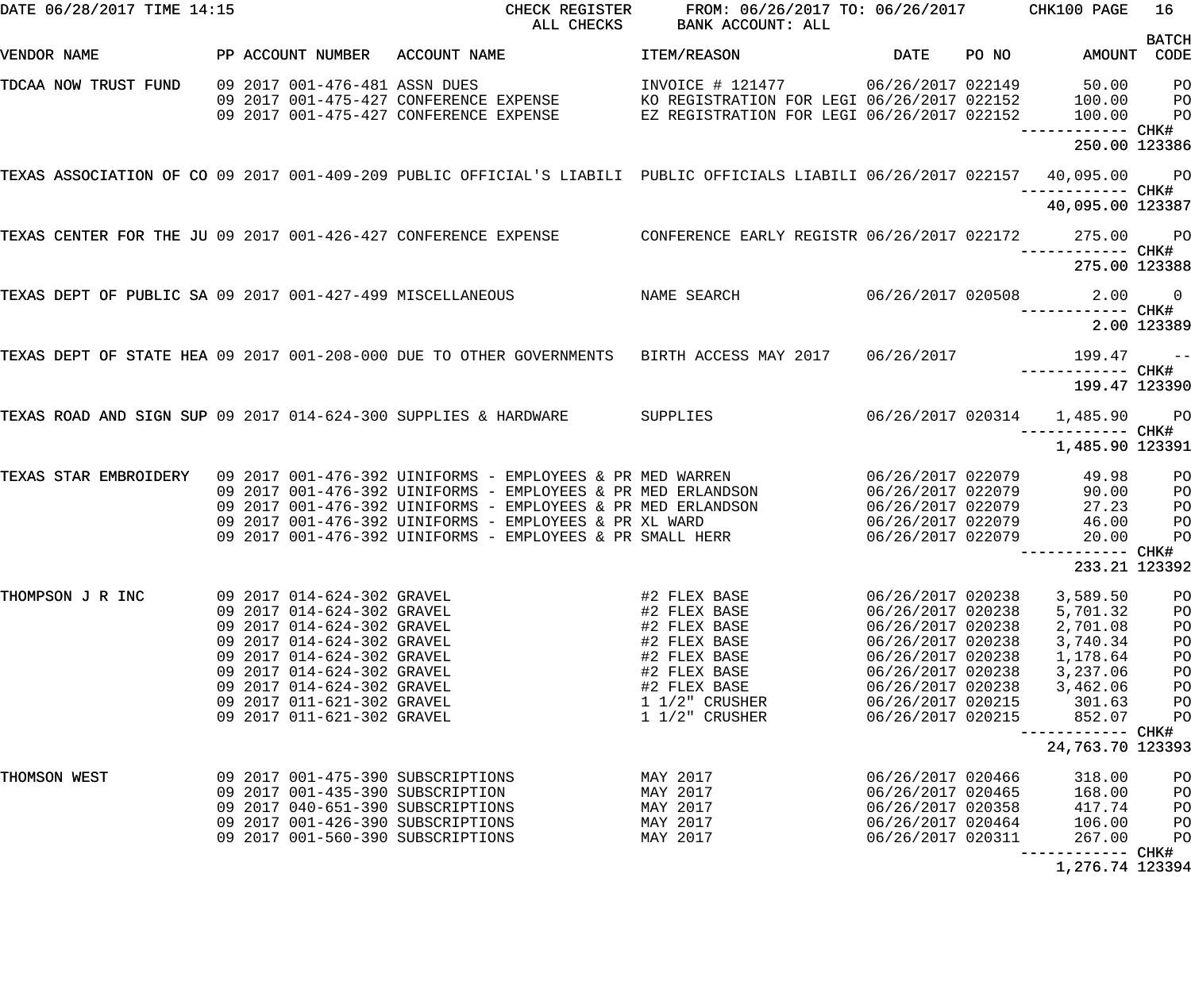| DATE 06/28/2017 TIME 14:15                                      |  |                                                          | CHECK REGISTER<br>ALL CHECKS                                                                                              | FROM: 06/26/2017 TO: 06/26/2017 CHK100 PAGE<br>BANK ACCOUNT: ALL                                                               |                                        |       |                                                  | 16                                        |
|-----------------------------------------------------------------|--|----------------------------------------------------------|---------------------------------------------------------------------------------------------------------------------------|--------------------------------------------------------------------------------------------------------------------------------|----------------------------------------|-------|--------------------------------------------------|-------------------------------------------|
| VENDOR NAME                                                     |  | PP ACCOUNT NUMBER                                        | ACCOUNT NAME                                                                                                              | ITEM/REASON                                                                                                                    | <b>DATE</b>                            | PO NO | AMOUNT CODE                                      | <b>BATCH</b>                              |
| TDCAA NOW TRUST FUND                                            |  | 09 2017 001-476-481 ASSN DUES                            | 09 2017 001-475-427 CONFERENCE EXPENSE<br>09 2017 001-475-427 CONFERENCE EXPENSE                                          | INVOICE # 121477 06/26/2017 022149<br>KO REGISTRATION FOR LEGI 06/26/2017 022152<br>EZ REGISTRATION FOR LEGI 06/26/2017 022152 |                                        |       | 50.00<br>100.00<br>100.00                        | P <sub>O</sub><br>$P$ O<br>P <sub>O</sub> |
|                                                                 |  |                                                          |                                                                                                                           |                                                                                                                                |                                        |       | 250.00 123386                                    |                                           |
|                                                                 |  |                                                          | TEXAS ASSOCIATION OF CO 09 2017 001-409-209 PUBLIC OFFICIAL'S LIABILI PUBLIC OFFICIALS LIABILI 06/26/2017 022157          |                                                                                                                                |                                        |       | 40,095.00 PO<br>------------ CHK#                |                                           |
|                                                                 |  |                                                          |                                                                                                                           |                                                                                                                                |                                        |       | 40,095.00 123387                                 |                                           |
| TEXAS CENTER FOR THE JU 09 2017 001-426-427 CONFERENCE EXPENSE  |  |                                                          |                                                                                                                           | CONFERENCE EARLY REGISTR 06/26/2017 022172                                                                                     |                                        |       | 275.00 PO<br>----------- CHK#                    |                                           |
|                                                                 |  |                                                          |                                                                                                                           |                                                                                                                                |                                        |       | 275.00 123388                                    |                                           |
| TEXAS DEPT OF PUBLIC SA 09 2017 001-427-499 MISCELLANEOUS       |  |                                                          |                                                                                                                           | NAME SEARCH                                                                                                                    | 06/26/2017 020508                      |       |                                                  | 2.00 0                                    |
|                                                                 |  |                                                          |                                                                                                                           |                                                                                                                                |                                        |       |                                                  | 2.00 123389                               |
|                                                                 |  |                                                          | TEXAS DEPT OF STATE HEA 09 2017 001-208-000 DUE TO OTHER GOVERNMENTS     BIRTH ACCESS MAY 2017                            |                                                                                                                                | 06/26/2017                             |       | $199.47 -$<br>------------ CHK#                  |                                           |
|                                                                 |  |                                                          |                                                                                                                           |                                                                                                                                |                                        |       | 199.47 123390                                    |                                           |
| TEXAS ROAD AND SIGN SUP 09 2017 014-624-300 SUPPLIES & HARDWARE |  |                                                          |                                                                                                                           | SUPPLIES                                                                                                                       |                                        |       | 06/26/2017 020314 1,485.90 PO<br>—————————— CHK# |                                           |
|                                                                 |  |                                                          |                                                                                                                           |                                                                                                                                |                                        |       | 1,485.90 123391                                  |                                           |
| TEXAS STAR EMBROIDERY                                           |  |                                                          | 09 2017 001-476-392 UINIFORMS - EMPLOYEES & PR MED WARREN<br>09 2017 001-476-392 UINIFORMS - EMPLOYEES & PR MED ERLANDSON |                                                                                                                                | 06/26/2017 022079<br>06/26/2017 022079 |       | 49.98<br>90.00                                   | PO                                        |
|                                                                 |  |                                                          | 09 2017 001-476-392 UINIFORMS - EMPLOYEES & PR MED ERLANDSON                                                              |                                                                                                                                | 06/26/2017 022079                      |       | 27.23                                            | PO<br>PO                                  |
|                                                                 |  |                                                          | 09 2017 001-476-392 UINIFORMS - EMPLOYEES & PR XL WARD                                                                    |                                                                                                                                | 06/26/2017 022079                      |       | 46.00                                            | PO                                        |
|                                                                 |  |                                                          | 09 2017 001-476-392 UINIFORMS - EMPLOYEES & PR SMALL HERR                                                                 |                                                                                                                                | 06/26/2017 022079                      |       | 20.00                                            | PO                                        |
|                                                                 |  |                                                          |                                                                                                                           |                                                                                                                                |                                        |       | 233.21 123392                                    |                                           |
| THOMPSON J R INC                                                |  | 09 2017 014-624-302 GRAVEL                               |                                                                                                                           | #2 FLEX BASE                                                                                                                   | 06/26/2017 020238                      |       | 3,589.50                                         | PO                                        |
|                                                                 |  | 09 2017 014-624-302 GRAVEL                               |                                                                                                                           | #2 FLEX BASE                                                                                                                   | 06/26/2017 020238                      |       | 5,701.32                                         | PO                                        |
|                                                                 |  | 09 2017 014-624-302 GRAVEL                               |                                                                                                                           | #2 FLEX BASE                                                                                                                   | 06/26/2017 020238                      |       | 2,701.08                                         | PO                                        |
|                                                                 |  | 09 2017 014-624-302 GRAVEL                               |                                                                                                                           | #2 FLEX BASE                                                                                                                   | 06/26/2017 020238                      |       | 3,740.34                                         | PO                                        |
|                                                                 |  | 09 2017 014-624-302 GRAVEL                               |                                                                                                                           | #2 FLEX BASE                                                                                                                   | 06/26/2017 020238                      |       | 1,178.64                                         | PO                                        |
|                                                                 |  | 09 2017 014-624-302 GRAVEL                               |                                                                                                                           | #2 FLEX BASE                                                                                                                   | 06/26/2017 020238                      |       | 3,237.06                                         | PO                                        |
|                                                                 |  | 09 2017 014-624-302 GRAVEL                               |                                                                                                                           | #2 FLEX BASE<br>$1\frac{1}{2}$ CRUSHER                                                                                         | 06/26/2017 020238<br>06/26/2017 020215 |       | 3,462.06                                         | PO                                        |
|                                                                 |  | 09 2017 011-621-302 GRAVEL<br>09 2017 011-621-302 GRAVEL |                                                                                                                           | $1\frac{1}{2}$ CRUSHER                                                                                                         | 06/26/2017 020215                      |       | 301.63<br>852.07                                 | PO<br>PO                                  |
|                                                                 |  |                                                          |                                                                                                                           |                                                                                                                                |                                        |       |                                                  |                                           |
|                                                                 |  |                                                          |                                                                                                                           |                                                                                                                                |                                        |       | 24,763.70 123393                                 |                                           |
| THOMSON WEST                                                    |  |                                                          | 09 2017 001-475-390 SUBSCRIPTIONS                                                                                         | MAY 2017                                                                                                                       | 06/26/2017 020466                      |       | 318.00                                           | PO                                        |
|                                                                 |  |                                                          | 09 2017 001-435-390 SUBSCRIPTION                                                                                          | MAY 2017                                                                                                                       | 06/26/2017 020465                      |       | 168.00                                           | PO                                        |
|                                                                 |  |                                                          | 09 2017 040-651-390 SUBSCRIPTIONS                                                                                         | MAY 2017                                                                                                                       | 06/26/2017 020358                      |       | 417.74                                           | PO                                        |
|                                                                 |  |                                                          | 09 2017 001-426-390 SUBSCRIPTIONS<br>09 2017 001-560-390 SUBSCRIPTIONS                                                    | MAY 2017<br>MAY 2017                                                                                                           | 06/26/2017 020464<br>06/26/2017 020311 |       | 106.00<br>267.00                                 | PO<br>PO                                  |
|                                                                 |  |                                                          |                                                                                                                           |                                                                                                                                |                                        |       |                                                  |                                           |
|                                                                 |  |                                                          |                                                                                                                           |                                                                                                                                |                                        |       | 1,276.74 123394                                  |                                           |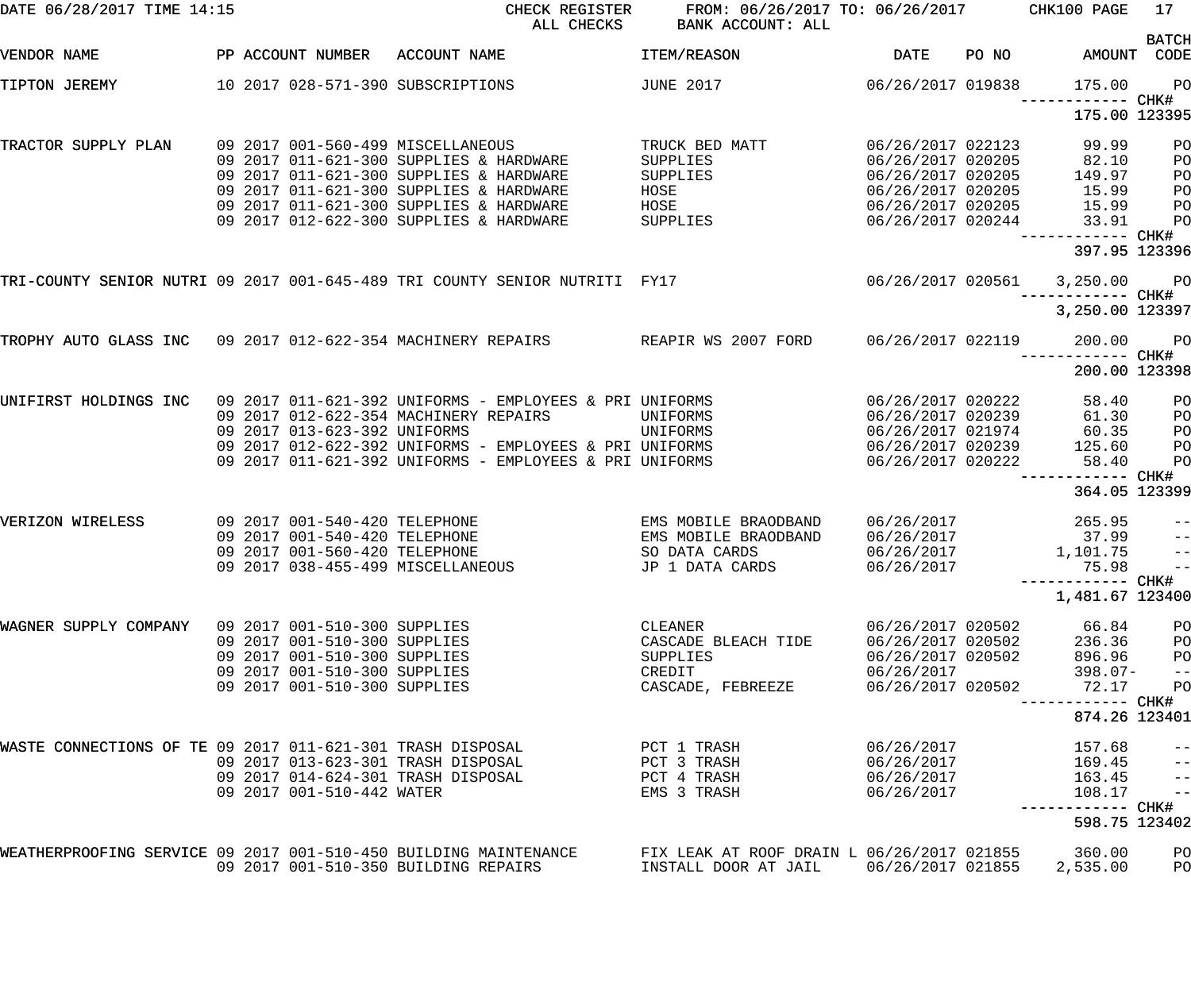| DATE 06/28/2017 TIME 14:15                                       |  |                                                                | CHECK REGISTER<br>ALL CHECKS                                                                                       |      | FROM: 06/26/2017 TO: 06/26/2017<br><b>BANK ACCOUNT: ALL</b> |                                        |       | CHK100 PAGE                        | 17 <sub>2</sub>          |
|------------------------------------------------------------------|--|----------------------------------------------------------------|--------------------------------------------------------------------------------------------------------------------|------|-------------------------------------------------------------|----------------------------------------|-------|------------------------------------|--------------------------|
| VENDOR NAME                                                      |  | PP ACCOUNT NUMBER                                              | ACCOUNT NAME                                                                                                       |      | ITEM/REASON                                                 | <b>DATE</b>                            | PO NO | AMOUNT CODE                        | <b>BATCH</b>             |
| TIPTON JEREMY                                                    |  |                                                                | 10 2017 028-571-390 SUBSCRIPTIONS                                                                                  |      | <b>JUNE 2017</b>                                            | 06/26/2017 019838                      |       | 175.00                             | P <sub>O</sub>           |
|                                                                  |  |                                                                |                                                                                                                    |      |                                                             |                                        |       | 175.00 123395                      |                          |
| TRACTOR SUPPLY PLAN                                              |  |                                                                | 09 2017 001-560-499 MISCELLANEOUS                                                                                  |      | TRUCK BED MATT                                              | 06/26/2017 022123                      |       | 99.99                              | PO                       |
|                                                                  |  |                                                                | 09 2017 011-621-300 SUPPLIES & HARDWARE<br>09 2017 011-621-300 SUPPLIES & HARDWARE                                 |      | SUPPLIES<br>SUPPLIES                                        | 06/26/2017 020205<br>06/26/2017 020205 |       | 82.10<br>149.97                    | PO<br>PO                 |
|                                                                  |  |                                                                | 09 2017 011-621-300 SUPPLIES & HARDWARE                                                                            | HOSE |                                                             | 06/26/2017 020205                      |       | 15.99                              | PO                       |
|                                                                  |  |                                                                | 09 2017 011-621-300 SUPPLIES & HARDWARE                                                                            | HOSE |                                                             | 06/26/2017 020205                      |       | 15.99                              | PO                       |
|                                                                  |  |                                                                | 09 2017 012-622-300 SUPPLIES & HARDWARE                                                                            |      | SUPPLIES                                                    | 06/26/2017 020244                      |       | 33.91                              | PO                       |
|                                                                  |  |                                                                |                                                                                                                    |      |                                                             |                                        |       | ------------ CHK#<br>397.95 123396 |                          |
|                                                                  |  |                                                                | TRI-COUNTY SENIOR NUTRI 09 2017 001-645-489 TRI COUNTY SENIOR NUTRITI FY17                                         |      |                                                             | 06/26/2017 020561                      |       | 3,250.00                           | <b>PO</b>                |
|                                                                  |  |                                                                |                                                                                                                    |      |                                                             |                                        |       | 3,250.00 123397                    |                          |
| TROPHY AUTO GLASS INC 09 2017 012-622-354 MACHINERY REPAIRS      |  |                                                                |                                                                                                                    |      | REAPIR WS 2007 FORD                                         | 06/26/2017 022119                      |       | 200.00                             | $P$ O                    |
|                                                                  |  |                                                                |                                                                                                                    |      |                                                             |                                        |       | 200.00 123398                      |                          |
| UNIFIRST HOLDINGS INC                                            |  |                                                                | 09 2017 011-621-392 UNIFORMS - EMPLOYEES & PRI UNIFORMS                                                            |      |                                                             | 06/26/2017 020222                      |       | 58.40                              | PO                       |
|                                                                  |  |                                                                | 09 2017 012-622-354 MACHINERY REPAIRS                                                                              |      | UNIFORMS                                                    | 06/26/2017 020239                      |       | 61.30                              | PO                       |
|                                                                  |  | 09 2017 013-623-392 UNIFORMS                                   |                                                                                                                    |      | UNIFORMS                                                    | 06/26/2017 021974                      |       | 60.35                              | PO                       |
|                                                                  |  |                                                                | 09 2017 012-622-392 UNIFORMS - EMPLOYEES & PRI UNIFORMS<br>09 2017 011-621-392 UNIFORMS - EMPLOYEES & PRI UNIFORMS |      |                                                             | 06/26/2017 020239<br>06/26/2017 020222 |       | 125.60<br>58.40                    | PO<br>PO                 |
|                                                                  |  |                                                                |                                                                                                                    |      |                                                             |                                        |       | ------ CHK#                        |                          |
|                                                                  |  |                                                                |                                                                                                                    |      |                                                             |                                        |       | 364.05 123399                      |                          |
| VERIZON WIRELESS                                                 |  | 09 2017 001-540-420 TELEPHONE<br>09 2017 001-540-420 TELEPHONE |                                                                                                                    |      | EMS MOBILE BRAODBAND<br>EMS MOBILE BRAODBAND                | 06/26/2017<br>06/26/2017               |       | 265.95<br>37.99                    | $- -$                    |
|                                                                  |  | 09 2017 001-560-420 TELEPHONE                                  |                                                                                                                    |      | SO DATA CARDS                                               | 06/26/2017                             |       | 1,101.75                           | $-$<br>$\qquad \qquad -$ |
|                                                                  |  |                                                                | 09 2017 038-455-499 MISCELLANEOUS                                                                                  |      | JP 1 DATA CARDS                                             | 06/26/2017                             |       | 75.98                              |                          |
|                                                                  |  |                                                                |                                                                                                                    |      |                                                             |                                        |       | -----------         CHK#           | $ -$                     |
|                                                                  |  |                                                                |                                                                                                                    |      |                                                             |                                        |       | 1,481.67 123400                    |                          |
| WAGNER SUPPLY COMPANY 09 2017 001-510-300 SUPPLIES               |  |                                                                |                                                                                                                    |      | CLEANER                                                     | 06/26/2017 020502                      |       | 66.84                              | PO                       |
|                                                                  |  | 09 2017 001-510-300 SUPPLIES                                   |                                                                                                                    |      | CASCADE BLEACH TIDE                                         | 06/26/2017 020502                      |       | 236.36                             | PO                       |
|                                                                  |  | 09 2017 001-510-300 SUPPLIES                                   |                                                                                                                    |      | SUPPLIES                                                    | 06/26/2017 020502                      |       | 896.96                             | P <sub>O</sub>           |
|                                                                  |  | 09 2017 001-510-300 SUPPLIES<br>09 2017 001-510-300 SUPPLIES   |                                                                                                                    |      | CREDIT                                                      | 06/26/2017<br>06/26/2017 020502        |       | $398.07 -$<br>72.17                | $- -$                    |
|                                                                  |  |                                                                |                                                                                                                    |      | CASCADE, FEBREEZE                                           |                                        |       | ------------ CHK#                  | PO                       |
|                                                                  |  |                                                                |                                                                                                                    |      |                                                             |                                        |       | 874.26 123401                      |                          |
| WASTE CONNECTIONS OF TE 09 2017 011-621-301 TRASH DISPOSAL       |  |                                                                |                                                                                                                    |      | PCT 1 TRASH                                                 | 06/26/2017                             |       | 157.68                             | $ -$                     |
|                                                                  |  |                                                                | 09 2017 013-623-301 TRASH DISPOSAL                                                                                 |      | PCT 3 TRASH                                                 | 06/26/2017                             |       | 169.45                             | $-$                      |
|                                                                  |  |                                                                | 09 2017 014-624-301 TRASH DISPOSAL                                                                                 |      | PCT 4 TRASH                                                 | 06/26/2017                             |       | 163.45                             | $-\, -$                  |
|                                                                  |  | 09 2017 001-510-442 WATER                                      |                                                                                                                    |      | EMS 3 TRASH                                                 | 06/26/2017                             |       | 108.17                             | $\frac{1}{2}$            |
|                                                                  |  |                                                                |                                                                                                                    |      |                                                             |                                        |       | 598.75 123402                      |                          |
| WEATHERPROOFING SERVICE 09 2017 001-510-450 BUILDING MAINTENANCE |  |                                                                |                                                                                                                    |      | FIX LEAK AT ROOF DRAIN L 06/26/2017 021855                  |                                        |       | 360.00                             | PO                       |
|                                                                  |  |                                                                | 09 2017 001-510-350 BUILDING REPAIRS                                                                               |      | INSTALL DOOR AT JAIL 06/26/2017 021855                      |                                        |       | 2,535.00                           | PO                       |